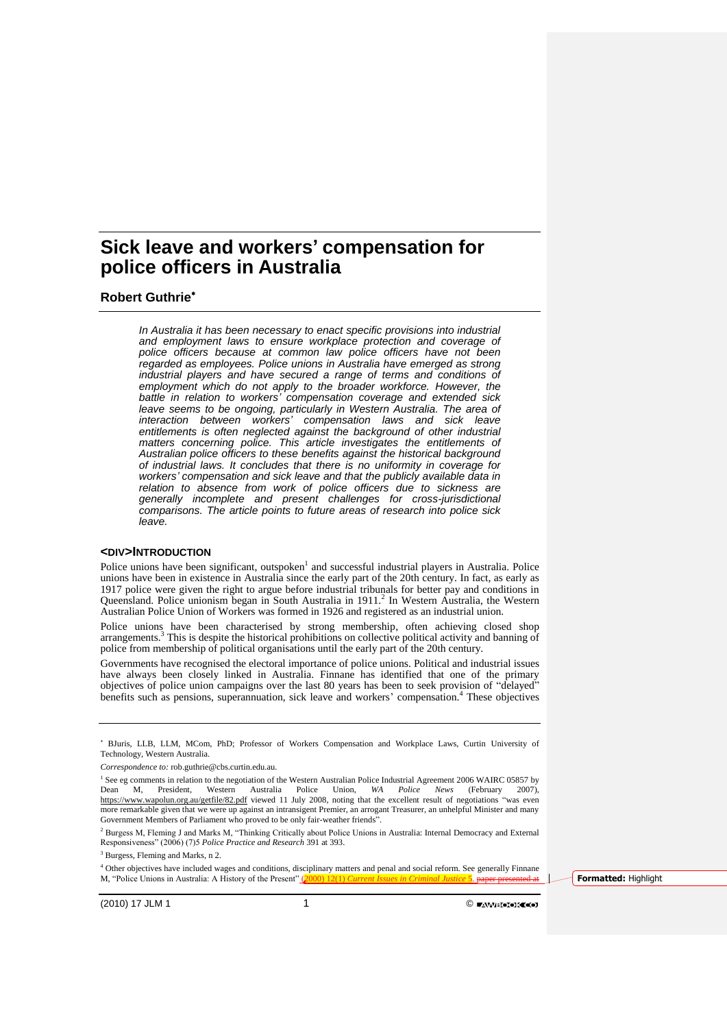## **Robert Guthrie**

*In Australia it has been necessary to enact specific provisions into industrial and employment laws to ensure workplace protection and coverage of police officers because at common law police officers have not been regarded as employees. Police unions in Australia have emerged as strong industrial players and have secured a range of terms and conditions of employment which do not apply to the broader workforce. However, the battle in relation to workers' compensation coverage and extended sick*  leave seems to be ongoing, particularly in Western Australia. The area of *interaction between workers' compensation laws and sick leave entitlements is often neglected against the background of other industrial matters concerning police. This article investigates the entitlements of Australian police officers to these benefits against the historical background of industrial laws. It concludes that there is no uniformity in coverage for workers' compensation and sick leave and that the publicly available data in relation to absence from work of police officers due to sickness are generally incomplete and present challenges for cross-jurisdictional comparisons. The article points to future areas of research into police sick leave.*

## **<DIV>INTRODUCTION**

Police unions have been significant, outspoken<sup>1</sup> and successful industrial players in Australia. Police unions have been in existence in Australia since the early part of the 20th century. In fact, as early as 1917 police were given the right to argue before industrial tribunals for better pay and conditions in Queensland. Police unionism began in South Australia in 1911.<sup>2</sup> In Western Australia, the Western Australian Police Union of Workers was formed in 1926 and registered as an industrial union.

Police unions have been characterised by strong membership, often achieving closed shop arrangements.<sup>3</sup> This is despite the historical prohibitions on collective political activity and banning of police from membership of political organisations until the early part of the 20th century.

Governments have recognised the electoral importance of police unions. Political and industrial issues have always been closely linked in Australia. Finnane has identified that one of the primary objectives of police union campaigns over the last 80 years has been to seek provision of "delayed" benefits such as pensions, superannuation, sick leave and workers' compensation.<sup>4</sup> These objectives

BJuris, LLB, LLM, MCom, PhD; Professor of Workers Compensation and Workplace Laws, Curtin University of Technology, Western Australia.

*Correspondence to:* rob.guthrie@cbs.curtin.edu.au.

<sup>&</sup>lt;sup>1</sup> See eg comments in relation to the negotiation of the Western Australian Police Industrial Agreement 2006 WAIRC 05857 by Dean M, President, Western Australia Police Union, *WA Police News* (February 2007), <https://www.wapolun.org.au/getfile/82.pdf> viewed 11 July 2008, noting that the excellent result of negotiations "was even more remarkable given that we were up against an intransigent Premier, an arrogant Treasurer, an unhelpful Minister and many Government Members of Parliament who proved to be only fair-weather friends".

<sup>&</sup>lt;sup>2</sup> Burgess M, Fleming J and Marks M, "Thinking Critically about Police Unions in Australia: Internal Democracy and External Responsiveness" (2006) (7)5 *Police Practice and Research* 391 at 393.

<sup>3</sup> Burgess, Fleming and Marks, n 2.

<sup>&</sup>lt;sup>4</sup> Other objectives have included wages and conditions, disciplinary matters and penal and social reform. See generally Finnane M, "Police Unions in Australia: A History of the Present" (2000) 12(1) *Current Issues in Criminal Justice* 5. paper presented at **Formatted:** Highlight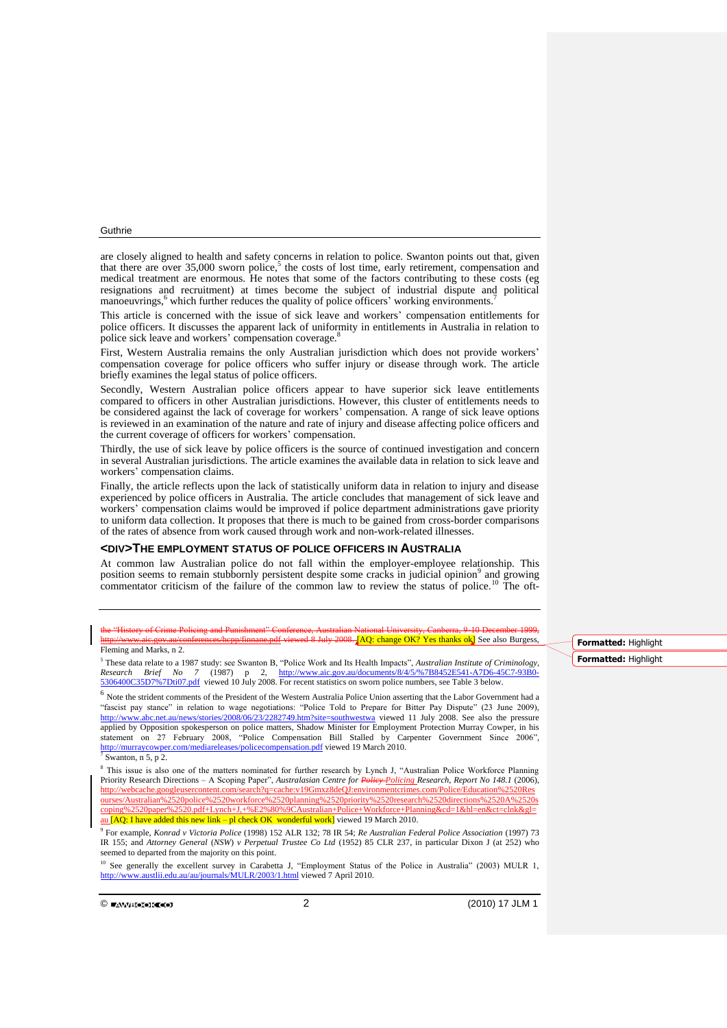are closely aligned to health and safety concerns in relation to police. Swanton points out that, given that there are over 35,000 sworn police,<sup>5</sup> the costs of lost time, early retirement, compensation and medical treatment are enormous. He notes that some of the factors contributing to these costs (eg resignations and recruitment) at times become the subject of industrial dispute and political manoeuvrings,<sup>6</sup> which further reduces the quality of police officers' working environments.<sup>7</sup>

This article is concerned with the issue of sick leave and workers' compensation entitlements for police officers. It discusses the apparent lack of uniformity in entitlements in Australia in relation to police sick leave and workers' compensation coverage.<sup>8</sup>

First, Western Australia remains the only Australian jurisdiction which does not provide workers' compensation coverage for police officers who suffer injury or disease through work. The article briefly examines the legal status of police officers.

Secondly, Western Australian police officers appear to have superior sick leave entitlements compared to officers in other Australian jurisdictions. However, this cluster of entitlements needs to be considered against the lack of coverage for workers' compensation. A range of sick leave options is reviewed in an examination of the nature and rate of injury and disease affecting police officers and the current coverage of officers for workers' compensation.

Thirdly, the use of sick leave by police officers is the source of continued investigation and concern in several Australian jurisdictions. The article examines the available data in relation to sick leave and workers' compensation claims.

Finally, the article reflects upon the lack of statistically uniform data in relation to injury and disease experienced by police officers in Australia. The article concludes that management of sick leave and workers' compensation claims would be improved if police department administrations gave priority to uniform data collection. It proposes that there is much to be gained from cross-border comparisons of the rates of absence from work caused through work and non-work-related illnesses.

#### **<DIV>THE EMPLOYMENT STATUS OF POLICE OFFICERS IN AUSTRALIA**

At common law Australian police do not fall within the employer-employee relationship. This position seems to remain stubbornly persistent despite some cracks in judicial opinion<sup>9</sup> and growing commentator criticism of the failure of the common law to review the status of police.<sup>10</sup> The oft-

the "History of Crime Policing and Punishment" Conference, Australian National University hcpp/finnane.pdf viewed 8 July 2008. [AQ: change OK? Yes thanks ok] See also Burgess,

## Fleming and Marks, n 2.

<sup>5</sup> These data relate to a 1987 study: see Swanton B, "Police Work and Its Health Impacts", *Australian Institute of Criminology, Research Brief No 7* (1987) p 2, [http://www.aic.gov.au/documents/8/4/5/%7B8452E541-A7D6-45C7-93B0-](http://www.aic.gov.au/documents/8/4/5/%7B8452E541-A7D6-45C7-93B0-5306400C35D7%7Dti07.pdf) [5306400C35D7%7Dti07.pdf](http://www.aic.gov.au/documents/8/4/5/%7B8452E541-A7D6-45C7-93B0-5306400C35D7%7Dti07.pdf) viewed 10 July 2008. For recent statistics on sworn police numbers, see Table 3 below.

<sup>6</sup> Note the strident comments of the President of the Western Australia Police Union asserting that the Labor Government had a "fascist pay stance" in relation to wage negotiations: "Police Told to Prepare for Bitter Pay Dispute" (23 June 2009), <http://www.abc.net.au/news/stories/2008/06/23/2282749.htm?site=southwestwa> viewed 11 July 2008. See also the pressure applied by Opposition spokesperson on police matters, Shadow Minister for Employment Protection Murray Cowper, in his statement on 27 February 2008, "Police Compensation Bill Stalled by Carpenter Government Since 2006", <http://murraycowper.com/mediareleases/policecompensation.pdf> viewed 19 March 2010.  $7$  Swanton, n 5, p 2.

<sup>8</sup> This issue is also one of the matters nominated for further research by Lynch J, "Australian Police Workforce Planning Priority Research Directions – A Scoping Paper", *Australasian Centre for Policy Policing Research, Report No 148.1* (2006), [http://webcache.googleusercontent.com/search?q=cache:v19Gmxz8deQJ:environmentcrimes.com/Police/Education%2520Res](http://webcache.googleusercontent.com/search?q=cache:v19Gmxz8deQJ:environmentcrimes.com/Police/Education%2520Resourses/Australian%2520police%2520workforce%2520planning%2520priority%2520research%2520directions%2520A%2520scoping%2520paper%2520.pdf+Lynch+J,+%E2%80%9CAustralian+Police+Workforce+Planning&cd=1&hl=en&ct=clnk&gl=au) [ourses/Australian%2520police%2520workforce%2520planning%2520priority%2520research%2520directions%2520A%2520s](http://webcache.googleusercontent.com/search?q=cache:v19Gmxz8deQJ:environmentcrimes.com/Police/Education%2520Resourses/Australian%2520police%2520workforce%2520planning%2520priority%2520research%2520directions%2520A%2520scoping%2520paper%2520.pdf+Lynch+J,+%E2%80%9CAustralian+Police+Workforce+Planning&cd=1&hl=en&ct=clnk&gl=au) [coping%2520paper%2520.pdf+Lynch+J,+%E2%80%9CAustralian+Police+Workforce+Planning&cd=1&hl=en&ct=clnk&gl=](http://webcache.googleusercontent.com/search?q=cache:v19Gmxz8deQJ:environmentcrimes.com/Police/Education%2520Resourses/Australian%2520police%2520workforce%2520planning%2520priority%2520research%2520directions%2520A%2520scoping%2520paper%2520.pdf+Lynch+J,+%E2%80%9CAustralian+Police+Workforce+Planning&cd=1&hl=en&ct=clnk&gl=au) [au](http://webcache.googleusercontent.com/search?q=cache:v19Gmxz8deQJ:environmentcrimes.com/Police/Education%2520Resourses/Australian%2520police%2520workforce%2520planning%2520priority%2520research%2520directions%2520A%2520scoping%2520paper%2520.pdf+Lynch+J,+%E2%80%9CAustralian+Police+Workforce+Planning&cd=1&hl=en&ct=clnk&gl=au) **[AQ: I have added this new link – pl check OK** wonderful work] viewed 19 March 2010.

9 For example, *Konrad v Victoria Police* (1998) 152 ALR 132; 78 IR 54; *Re Australian Federal Police Association* (1997) 73 IR 155; and *Attorney General* (*NSW*) *v Perpetual Trustee Co Ltd* (1952) 85 CLR 237, in particular Dixon J (at 252) who seemed to departed from the majority on this point.

See generally the excellent survey in Carabetta J, "Employment Status of the Police in Australia" (2003) MULR 1, <http://www.austlii.edu.au/au/journals/MULR/2003/1.html> viewed 7 April 2010.

 $\circledcirc$  if the contract of the contract of the contract of the contract of the contract of the contract of the contract of the contract of the contract of the contract of the contract of the contract of the contract of the

**Formatted:** Highlight **Formatted:** Highlight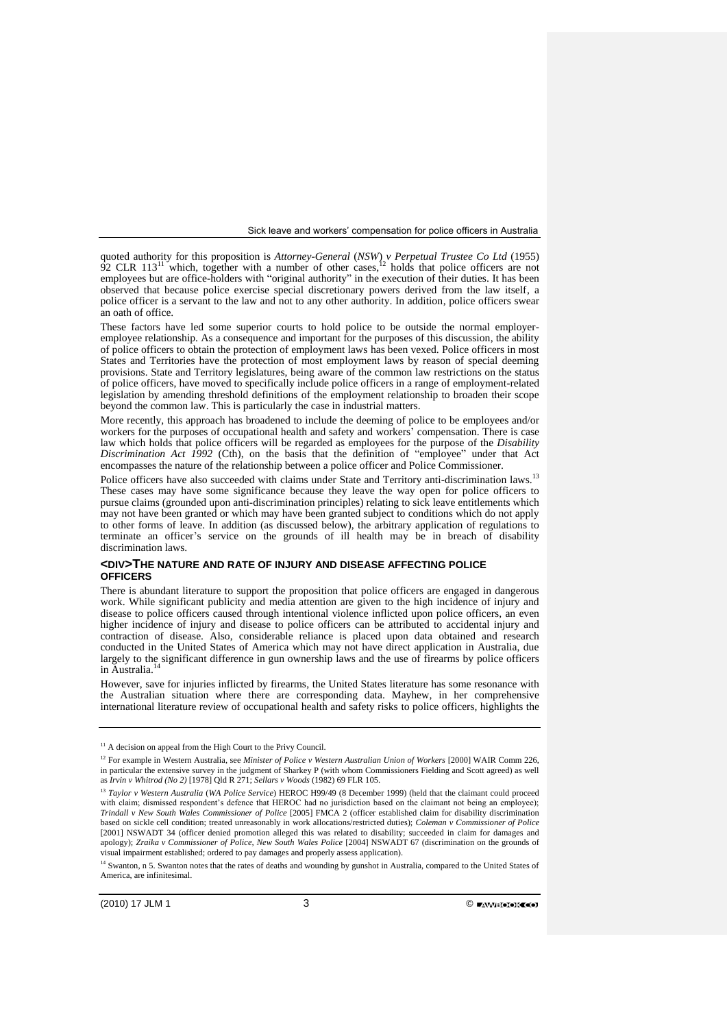quoted authority for this proposition is *Attorney-General* (*NSW*) *v Perpetual Trustee Co Ltd* (1955) 92 CLR 113<sup>11</sup> which, together with a number of other cases,<sup>12</sup> holds that police officers are not employees but are office-holders with "original authority" in the execution of their duties. It has been observed that because police exercise special discretionary powers derived from the law itself, a police officer is a servant to the law and not to any other authority. In addition, police officers swear an oath of office.

These factors have led some superior courts to hold police to be outside the normal employeremployee relationship. As a consequence and important for the purposes of this discussion, the ability of police officers to obtain the protection of employment laws has been vexed. Police officers in most States and Territories have the protection of most employment laws by reason of special deeming provisions. State and Territory legislatures, being aware of the common law restrictions on the status of police officers, have moved to specifically include police officers in a range of employment-related legislation by amending threshold definitions of the employment relationship to broaden their scope beyond the common law. This is particularly the case in industrial matters.

More recently, this approach has broadened to include the deeming of police to be employees and/or workers for the purposes of occupational health and safety and workers' compensation. There is case law which holds that police officers will be regarded as employees for the purpose of the *Disability Discrimination Act 1992* (Cth), on the basis that the definition of "employee" under that Act encompasses the nature of the relationship between a police officer and Police Commissioner.

Police officers have also succeeded with claims under State and Territory anti-discrimination laws.<sup>13</sup> These cases may have some significance because they leave the way open for police officers to pursue claims (grounded upon anti-discrimination principles) relating to sick leave entitlements which may not have been granted or which may have been granted subject to conditions which do not apply to other forms of leave. In addition (as discussed below), the arbitrary application of regulations to terminate an officer's service on the grounds of ill health may be in breach of disability discrimination laws.

## **<DIV>THE NATURE AND RATE OF INJURY AND DISEASE AFFECTING POLICE OFFICERS**

There is abundant literature to support the proposition that police officers are engaged in dangerous work. While significant publicity and media attention are given to the high incidence of injury and disease to police officers caused through intentional violence inflicted upon police officers, an even higher incidence of injury and disease to police officers can be attributed to accidental injury and contraction of disease. Also, considerable reliance is placed upon data obtained and research conducted in the United States of America which may not have direct application in Australia, due largely to the significant difference in gun ownership laws and the use of firearms by police officers<br>in Australia<sup>14</sup> in Australia.

However, save for injuries inflicted by firearms, the United States literature has some resonance with the Australian situation where there are corresponding data. Mayhew, in her comprehensive international literature review of occupational health and safety risks to police officers, highlights the

<sup>&</sup>lt;sup>11</sup> A decision on appeal from the High Court to the Privy Council.

<sup>&</sup>lt;sup>12</sup> For example in Western Australia, see *Minister of Police v Western Australian Union of Workers* [2000] WAIR Comm 226, in particular the extensive survey in the judgment of Sharkey P (with whom Commissioners Fielding and Scott agreed) as well as *Irvin v Whitrod (No 2)* [1978] Qld R 271; *Sellars v Woods* (1982) 69 FLR 105.

<sup>13</sup> *Taylor v Western Australia* (*WA Police Service*) HEROC H99/49 (8 December 1999) (held that the claimant could proceed with claim; dismissed respondent's defence that HEROC had no jurisdiction based on the claimant not being an employee); *Trindall v New South Wales Commissioner of Police* [2005] FMCA 2 (officer established claim for disability discrimination based on sickle cell condition; treated unreasonably in work allocations/restricted duties); *Coleman v Commissioner of Police* [2001] NSWADT 34 (officer denied promotion alleged this was related to disability; succeeded in claim for damages and apology); *Zraika v Commissioner of Police, New South Wales Police* [2004] NSWADT 67 (discrimination on the grounds of visual impairment established; ordered to pay damages and properly assess application).

<sup>&</sup>lt;sup>14</sup> Swanton, n 5. Swanton notes that the rates of deaths and wounding by gunshot in Australia, compared to the United States of America, are infinitesimal.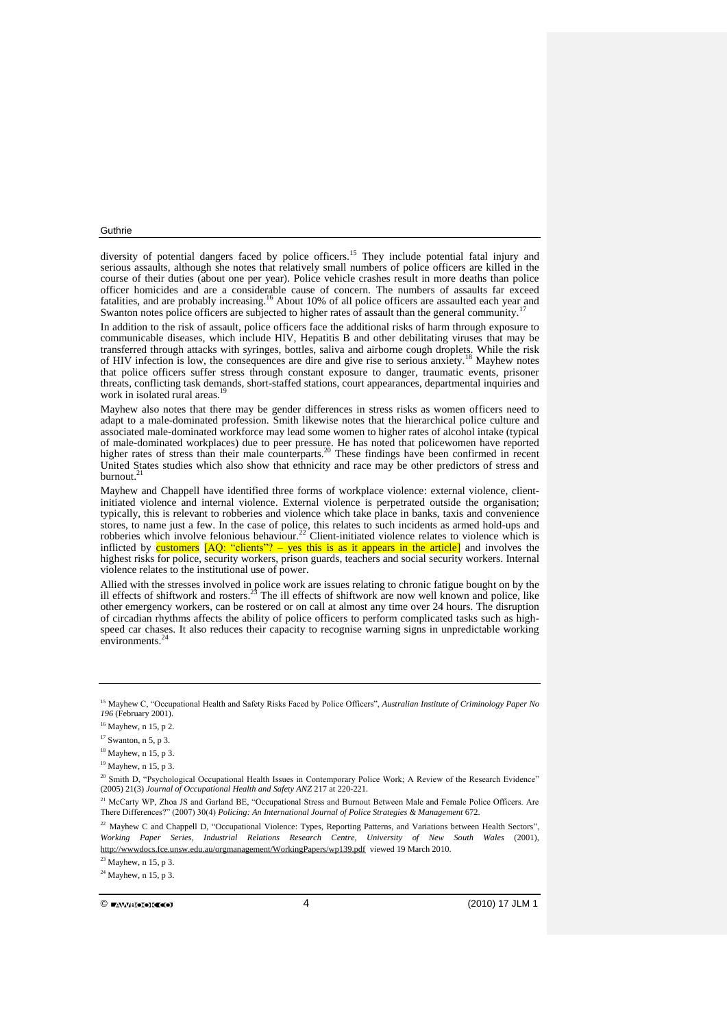diversity of potential dangers faced by police officers.<sup>15</sup> They include potential fatal injury and serious assaults, although she notes that relatively small numbers of police officers are killed in the course of their duties (about one per year). Police vehicle crashes result in more deaths than police officer homicides and are a considerable cause of concern. The numbers of assaults far exceed fatalities, and are probably increasing.<sup>16</sup> About 10% of all police officers are assaulted each year and Swanton notes police officers are subjected to higher rates of assault than the general community.<sup>17</sup>

In addition to the risk of assault, police officers face the additional risks of harm through exposure to communicable diseases, which include HIV, Hepatitis B and other debilitating viruses that may be transferred through attacks with syringes, bottles, saliva and airborne cough droplets. While the risk of HIV infection is low, the consequences are dire and give rise to serious anxiety.<sup>18</sup> Mayhew notes that police officers suffer stress through constant exposure to danger, traumatic events, prisoner threats, conflicting task demands, short-staffed stations, court appearances, departmental inquiries and work in isolated rural areas.<sup>19</sup>

Mayhew also notes that there may be gender differences in stress risks as women officers need to adapt to a male-dominated profession. Smith likewise notes that the hierarchical police culture and associated male-dominated workforce may lead some women to higher rates of alcohol intake (typical of male-dominated workplaces) due to peer pressure. He has noted that policewomen have reported higher rates of stress than their male counterparts.<sup>20</sup> These findings have been confirmed in recent United States studies which also show that ethnicity and race may be other predictors of stress and burnout.<sup>21</sup>

Mayhew and Chappell have identified three forms of workplace violence: external violence, clientinitiated violence and internal violence. External violence is perpetrated outside the organisation; typically, this is relevant to robberies and violence which take place in banks, taxis and convenience stores, to name just a few. In the case of police, this relates to such incidents as armed hold-ups and robberies which involve felonious behaviour.<sup>22</sup> Client-initiated violence relates to violence which is inflicted by customers [AQ: "clients"? – yes this is as it appears in the article] and involves the highest risks for police, security workers, prison guards, teachers and social security workers. Internal violence relates to the institutional use of power.

Allied with the stresses involved in police work are issues relating to chronic fatigue bought on by the ill effects of shiftwork and rosters.<sup>23</sup> The ill effects of shiftwork are now well known and police, like other emergency workers, can be rostered or on call at almost any time over 24 hours. The disruption of circadian rhythms affects the ability of police officers to perform complicated tasks such as highspeed car chases. It also reduces their capacity to recognise warning signs in unpredictable working environments.<sup>2</sup>

<sup>15</sup> Mayhew C, "Occupational Health and Safety Risks Faced by Police Officers", *Australian Institute of Criminology Paper No 196* (February 2001).

 $16$  Mayhew, n 15, p 2.

<sup>17</sup> Swanton, n 5, p 3.

<sup>18</sup> Mayhew, n 15, p 3.

<sup>19</sup> Mayhew, n 15, p 3.

<sup>&</sup>lt;sup>20</sup> Smith D, "Psychological Occupational Health Issues in Contemporary Police Work; A Review of the Research Evidence" (2005) 21(3) *Journal of Occupational Health and Safety ANZ* 217 at 220-221.

<sup>&</sup>lt;sup>21</sup> McCarty WP, Zhoa JS and Garland BE, "Occupational Stress and Burnout Between Male and Female Police Officers. Are There Differences?" (2007) 30(4) *Policing: An International Journal of Police Strategies & Management* 672.

<sup>&</sup>lt;sup>22</sup> Mayhew C and Chappell D, "Occupational Violence: Types, Reporting Patterns, and Variations between Health Sectors", *Working Paper Series, Industrial Relations Research Centre, University of New South Wales* (2001), <http://wwwdocs.fce.unsw.edu.au/orgmanagement/WorkingPapers/wp139.pdf> viewed 19 March 2010.

<sup>23</sup> Mayhew, n 15, p 3.

 $24$  Mayhew, n 15, p 3.

 $\circledcirc$  (2010) 17 JLM 1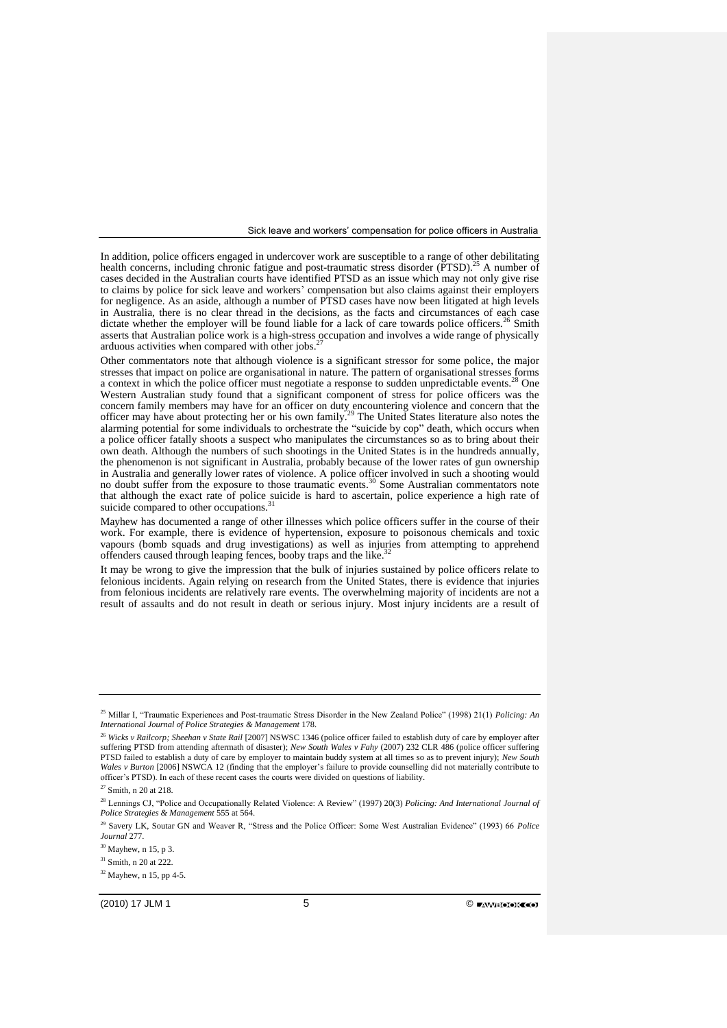In addition, police officers engaged in undercover work are susceptible to a range of other debilitating health concerns, including chronic fatigue and post-traumatic stress disorder (PTSD).<sup>25</sup> A number of cases decided in the Australian courts have identified PTSD as an issue which may not only give rise to claims by police for sick leave and workers' compensation but also claims against their employers for negligence. As an aside, although a number of PTSD cases have now been litigated at high levels in Australia, there is no clear thread in the decisions, as the facts and circumstances of each case dictate whether the employer will be found liable for a lack of care towards police officers.<sup>26</sup> Smith asserts that Australian police work is a high-stress occupation and involves a wide range of physically arduous activities when compared with other jobs.<sup>27</sup>

Other commentators note that although violence is a significant stressor for some police, the major stresses that impact on police are organisational in nature. The pattern of organisational stresses forms a context in which the police officer must negotiate a response to sudden unpredictable events.<sup>28</sup> One Western Australian study found that a significant component of stress for police officers was the concern family members may have for an officer on duty encountering violence and concern that the officer may have about protecting her or his own family.<sup>29</sup> The United States literature also notes the alarming potential for some individuals to orchestrate the "suicide by cop" death, which occurs when a police officer fatally shoots a suspect who manipulates the circumstances so as to bring about their own death. Although the numbers of such shootings in the United States is in the hundreds annually, the phenomenon is not significant in Australia, probably because of the lower rates of gun ownership in Australia and generally lower rates of violence. A police officer involved in such a shooting would no doubt suffer from the exposure to those traumatic events.<sup>30</sup> Some Australian commentators note that although the exact rate of police suicide is hard to ascertain, police experience a high rate of suicide compared to other occupations.

Mayhew has documented a range of other illnesses which police officers suffer in the course of their work. For example, there is evidence of hypertension, exposure to poisonous chemicals and toxic vapours (bomb squads and drug investigations) as well as injuries from attempting to apprehend offenders caused through leaping fences, booby traps and the like.<sup>5</sup>

It may be wrong to give the impression that the bulk of injuries sustained by police officers relate to felonious incidents. Again relying on research from the United States, there is evidence that injuries from felonious incidents are relatively rare events. The overwhelming majority of incidents are not a result of assaults and do not result in death or serious injury. Most injury incidents are a result of

<sup>25</sup> Millar I, "Traumatic Experiences and Post-traumatic Stress Disorder in the New Zealand Police" (1998) 21(1) *Policing: An International Journal of Police Strategies & Management* 178.

<sup>26</sup> *Wicks v Railcorp; Sheehan v State Rail* [2007] NSWSC 1346 (police officer failed to establish duty of care by employer after suffering PTSD from attending aftermath of disaster); *New South Wales v Fahy* (2007) 232 CLR 486 (police officer suffering PTSD failed to establish a duty of care by employer to maintain buddy system at all times so as to prevent injury); *New South Wales v Burton* [2006] NSWCA 12 (finding that the employer's failure to provide counselling did not materially contribute to officer's PTSD). In each of these recent cases the courts were divided on questions of liability.

 $27$  Smith, n 20 at 218.

<sup>28</sup> Lennings CJ, "Police and Occupationally Related Violence: A Review" (1997) 20(3) *Policing: And International Journal of Police Strategies & Management* 555 at 564.

<sup>29</sup> Savery LK, Soutar GN and Weaver R, "Stress and the Police Officer: Some West Australian Evidence" (1993) 66 *Police Journal* 277.

<sup>30</sup> Mayhew, n 15, p 3.

<sup>31</sup> Smith, n 20 at 222.

 $32$  Mayhew, n 15, pp 4-5.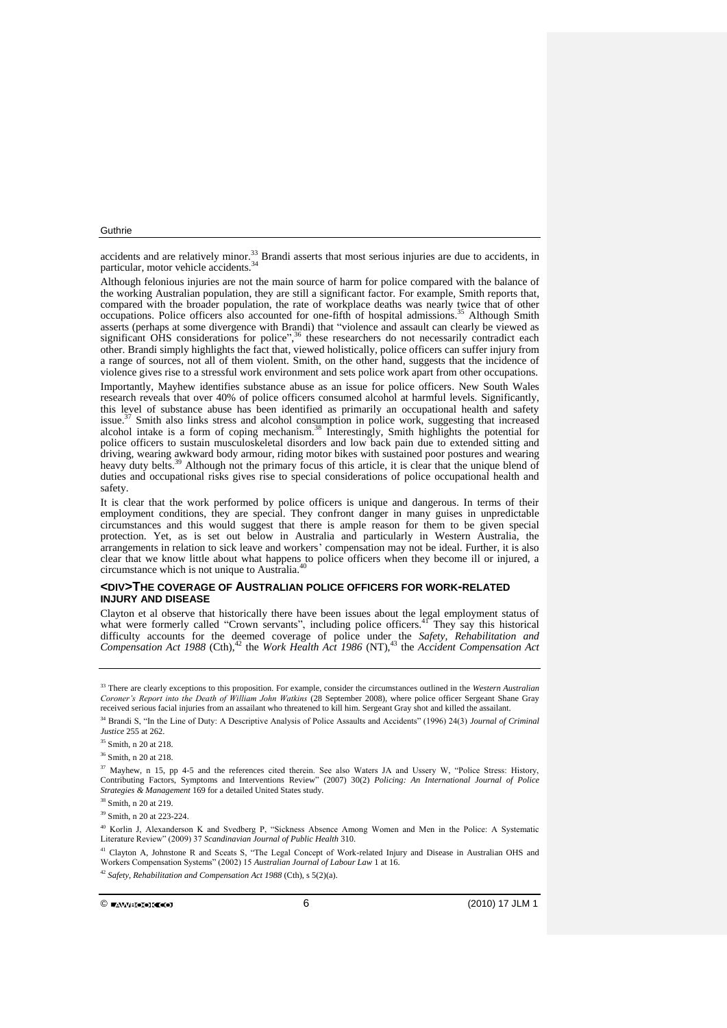accidents and are relatively minor.<sup>33</sup> Brandi asserts that most serious injuries are due to accidents, in particular, motor vehicle accidents.<sup>34</sup>

Although felonious injuries are not the main source of harm for police compared with the balance of the working Australian population, they are still a significant factor. For example, Smith reports that, compared with the broader population, the rate of workplace deaths was nearly twice that of other occupations. Police officers also accounted for one-fifth of hospital admissions. <sup>35</sup> Although Smith asserts (perhaps at some divergence with Brandi) that "violence and assault can clearly be viewed as significant OHS considerations for police",<sup>36</sup> these researchers do not necessarily contradict each other. Brandi simply highlights the fact that, viewed holistically, police officers can suffer injury from a range of sources, not all of them violent. Smith, on the other hand, suggests that the incidence of violence gives rise to a stressful work environment and sets police work apart from other occupations.

Importantly, Mayhew identifies substance abuse as an issue for police officers. New South Wales research reveals that over 40% of police officers consumed alcohol at harmful levels. Significantly, this level of substance abuse has been identified as primarily an occupational health and safety issue.<sup>37</sup> Smith also links stress and alcohol consumption in police work, suggesting that increased alcohol intake is a form of coping mechanism.<sup>38</sup> Interestingly, Smith highlights the potential for police officers to sustain musculoskeletal disorders and low back pain due to extended sitting and driving, wearing awkward body armour, riding motor bikes with sustained poor postures and wearing heavy duty belts.<sup>39</sup> Although not the primary focus of this article, it is clear that the unique blend of duties and occupational risks gives rise to special considerations of police occupational health and safety.

It is clear that the work performed by police officers is unique and dangerous. In terms of their employment conditions, they are special. They confront danger in many guises in unpredictable circumstances and this would suggest that there is ample reason for them to be given special protection. Yet, as is set out below in Australia and particularly in Western Australia, the arrangements in relation to sick leave and workers' compensation may not be ideal. Further, it is also clear that we know little about what happens to police officers when they become ill or injured, a circumstance which is not unique to Australia.<sup>40</sup>

## **<DIV>THE COVERAGE OF AUSTRALIAN POLICE OFFICERS FOR WORK-RELATED INJURY AND DISEASE**

Clayton et al observe that historically there have been issues about the legal employment status of what were formerly called "Crown servants", including police officers.<sup>41</sup> They say this historical difficulty accounts for the deemed coverage of police under the *Safety, Rehabilitation and*  Compensation Act 1988 (Cth),<sup>42</sup> the Work Health Act 1986 (NT),<sup>43</sup> the *Accident Compensation Act* 

<sup>39</sup> Smith, n 20 at 223-224.

<sup>40</sup> Korlin J, Alexanderson K and Svedberg P, "Sickness Absence Among Women and Men in the Police: A Systematic Literature Review" (2009) 37 *Scandinavian Journal of Public Health* 310.

<sup>41</sup> Clavton A. Johnstone R and Sceats S, "The Legal Concept of Work-related Injury and Disease in Australian OHS and Workers Compensation Systems" (2002) 15 *Australian Journal of Labour Law* 1 at 16.

<sup>42</sup> *Safety, Rehabilitation and Compensation Act 1988* (Cth), s 5(2)(a).

 $\circ$  final contracts to  $\circ$  6 (2010) 17 JLM 1

<sup>33</sup> There are clearly exceptions to this proposition. For example, consider the circumstances outlined in the *Western Australian Coroner's Report into the Death of William John Watkins* (28 September 2008), where police officer Sergeant Shane Gray received serious facial injuries from an assailant who threatened to kill him. Sergeant Gray shot and killed the assailant.

<sup>34</sup> Brandi S, "In the Line of Duty: A Descriptive Analysis of Police Assaults and Accidents" (1996) 24(3) *Journal of Criminal Justice* 255 at 262.

<sup>&</sup>lt;sup>35</sup> Smith, n 20 at 218.

<sup>&</sup>lt;sup>36</sup> Smith, n 20 at 218.

<sup>37</sup> Mayhew, n 15, pp 4-5 and the references cited therein. See also Waters JA and Ussery W, "Police Stress: History, Contributing Factors, Symptoms and Interventions Review" (2007) 30(2) *Policing: An International Journal of Police Strategies & Management* 169 for a detailed United States study.

<sup>38</sup> Smith, n 20 at 219.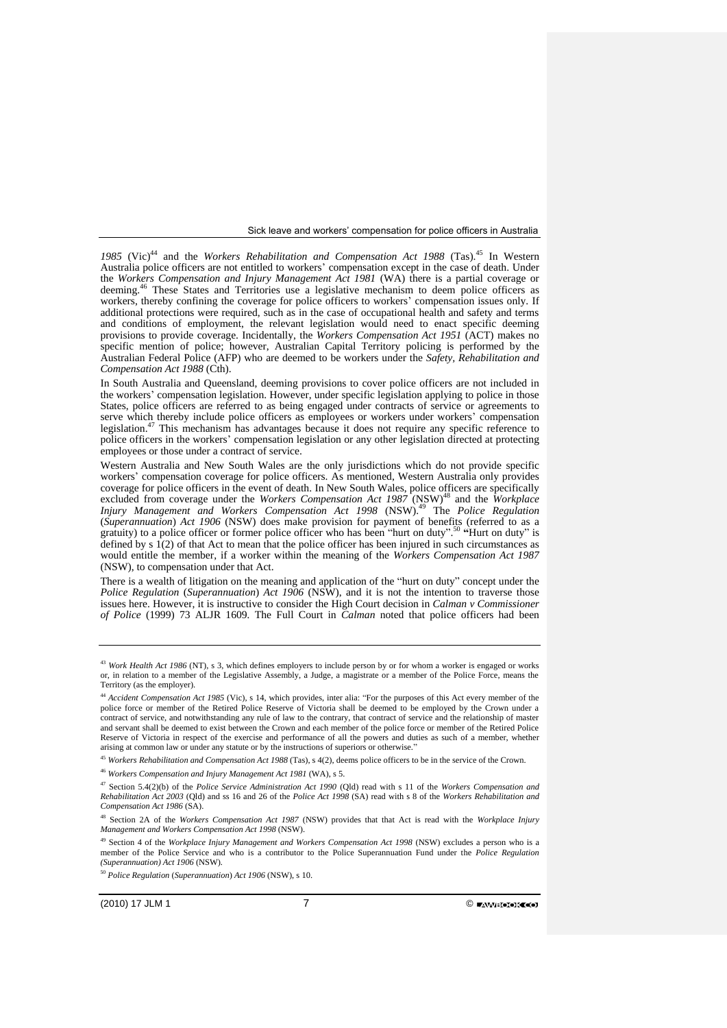1985 (Vic)<sup>44</sup> and the *Workers Rehabilitation and Compensation Act 1988* (Tas).<sup>45</sup> In Western Australia police officers are not entitled to workers' compensation except in the case of death. Under the *Workers Compensation and Injury Management Act 1981* (WA) there is a partial coverage or deeming.<sup>46</sup> These States and Territories use a legislative mechanism to deem police officers as workers, thereby confining the coverage for police officers to workers' compensation issues only. If additional protections were required, such as in the case of occupational health and safety and terms and conditions of employment, the relevant legislation would need to enact specific deeming provisions to provide coverage. Incidentally, the *Workers Compensation Act 1951* (ACT) makes no specific mention of police; however, Australian Capital Territory policing is performed by the Australian Federal Police (AFP) who are deemed to be workers under the *Safety, Rehabilitation and Compensation Act 1988* (Cth).

In South Australia and Queensland, deeming provisions to cover police officers are not included in the workers' compensation legislation. However, under specific legislation applying to police in those States, police officers are referred to as being engaged under contracts of service or agreements to serve which thereby include police officers as employees or workers under workers' compensation legislation.<sup>47</sup> This mechanism has advantages because it does not require any specific reference to police officers in the workers' compensation legislation or any other legislation directed at protecting employees or those under a contract of service.

Western Australia and New South Wales are the only jurisdictions which do not provide specific workers' compensation coverage for police officers. As mentioned, Western Australia only provides coverage for police officers in the event of death. In New South Wales, police officers are specifically excluded from coverage under the *Workers Compensation Act 1987* (NSW)<sup>48</sup> and the *Workplace Injury Management and Workers Compensation Act 1998* (NSW).<sup>49</sup> The *Police Regulation*  (*Superannuation*) *Act 1906* (NSW) does make provision for payment of benefits (referred to as a gratuity) to a police officer or former police officer who has been "hurt on duty". <sup>50</sup> **"**Hurt on duty" is defined by  $s \hat{1}(2)$  of that Act to mean that the police officer has been injured in such circumstances as would entitle the member, if a worker within the meaning of the *[Workers Compensation](http://www.austlii.edu.au/au/legis/nsw/consol_act/wca1987255/) [Act 1987](http://www.austlii.edu.au/au/legis/nsw/consol_act/wca1987255/)* (NSW), to compensation under that Act.

There is a wealth of litigation on the meaning and application of the "hurt on duty" concept under the *Police Regulation* (*Superannuation*) *Act 1906* (NSW), and it is not the intention to traverse those issues here. However, it is instructive to consider the High Court decision in *Calman v Commissioner of Police* (1999) 73 ALJR 1609*.* The Full Court in *Calman* noted that police officers had been

<sup>46</sup> *Workers Compensation and Injury Management Act 1981* (WA), s 5.

<sup>49</sup> Section 4 of the *Workplace Injury Management and Workers Compensation Act 1998* (NSW) excludes a person who is a member of the Police Service and who is a contributor to the Police Superannuation Fund under the *[Police Regulation](http://www.austlii.edu.au/au/legis/nsw/consol_act/pra1906361/) [\(Superannuation\)](http://www.austlii.edu.au/au/legis/nsw/consol_act/pra1906361/) Act 1906* (NSW)*.*

<sup>43</sup> *Work Health Act 1986* (NT), s 3, which defines employers to include person by or for whom a worker is engaged or works or, in relation to a member of the Legislative Assembly, a Judge, a magistrate or a member of the Police Force, means the Territory (as the employer).

<sup>44</sup> *Accident Compensation Act 1985* (Vic), s 14, which provides, inter alia: "For the purposes of this Act every member of the police force or member of the Retired Police Reserve of Victoria shall be deemed to be employed by the Crown under a contract of service, and notwithstanding any rule of law to the contrary, that contract of service and the relationship of master and servant shall be deemed to exist between the Crown and each member of the police force or member of the Retired Police Reserve of Victoria in respect of the exercise and performance of all the powers and duties as such of a member, whether arising at common law or under any statute or by the instructions of superiors or otherwise."

<sup>45</sup> *Workers Rehabilitation and Compensation Act 1988* (Tas), s 4(2), deems police officers to be in the service of the Crown.

<sup>47</sup> Section 5.4(2)(b) of the *Police Service Administration Act 1990* (Qld) read with s 11 of the *Workers Compensation and Rehabilitation Act 2003* (Qld) and ss 16 and 26 of the *Police Act 1998* (SA) read with s 8 of the *Workers Rehabilitation and Compensation Act 1986* (SA).

<sup>48</sup> Section 2A of the *Workers Compensation Act 1987* (NSW) provides that that Act is read with the *Workplace Injury Management and Workers Compensation Act 1998* (NSW).

<sup>50</sup> *Police Regulation* (*Superannuation*) *Act 1906* (NSW), s 10.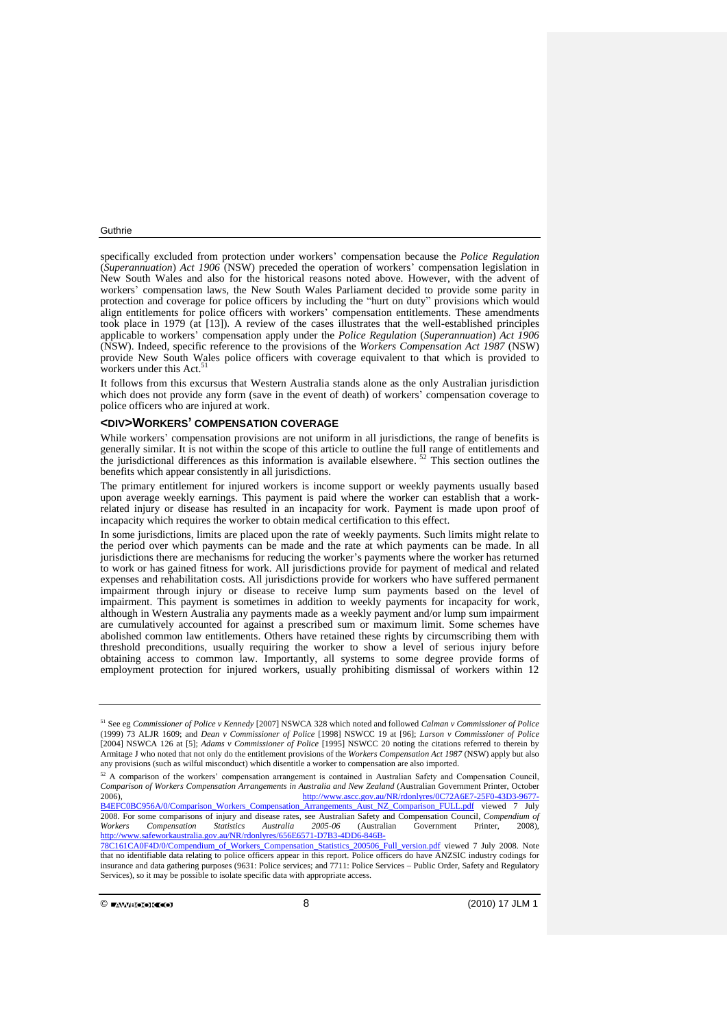specifically excluded from protection under workers' compensation because the *Police Regulation*  (*Superannuation*) *Act 1906* (NSW) preceded the operation of workers' compensation legislation in New South Wales and also for the historical reasons noted above. However, with the advent of workers' compensation laws, the New South Wales Parliament decided to provide some parity in protection and coverage for police officers by including the "hurt on duty" provisions which would align entitlements for police officers with workers' compensation entitlements. These amendments took place in 1979 (at [13]). A review of the cases illustrates that the well-established principles applicable to workers' compensation apply under the *Police Regulation* (*Superannuation*) *Act 1906*  (NSW). Indeed, specific reference to the provisions of the *[Workers Compensation](http://www.austlii.edu.au/au/legis/nsw/consol_act/wca1987255/) [Act 1987](http://www.austlii.edu.au/au/legis/nsw/consol_act/wca1987255/)* (NSW) provide New South Wales police officers with coverage equivalent to that which is provided to workers under this Act.<sup>51</sup>

It follows from this excursus that Western Australia stands alone as the only Australian jurisdiction which does not provide any form (save in the event of death) of workers' compensation coverage to police officers who are injured at work.

## **<DIV>WORKERS' COMPENSATION COVERAGE**

While workers' compensation provisions are not uniform in all jurisdictions, the range of benefits is generally similar. It is not within the scope of this article to outline the full range of entitlements and the jurisdictional differences as this information is available elsewhere.  $52$  This section outlines the benefits which appear consistently in all jurisdictions.

The primary entitlement for injured workers is income support or weekly payments usually based upon average weekly earnings. This payment is paid where the worker can establish that a workrelated injury or disease has resulted in an incapacity for work. Payment is made upon proof of incapacity which requires the worker to obtain medical certification to this effect.

In some jurisdictions, limits are placed upon the rate of weekly payments. Such limits might relate to the period over which payments can be made and the rate at which payments can be made. In all jurisdictions there are mechanisms for reducing the worker's payments where the worker has returned to work or has gained fitness for work. All jurisdictions provide for payment of medical and related expenses and rehabilitation costs. All jurisdictions provide for workers who have suffered permanent impairment through injury or disease to receive lump sum payments based on the level of impairment. This payment is sometimes in addition to weekly payments for incapacity for work, although in Western Australia any payments made as a weekly payment and/or lump sum impairment are cumulatively accounted for against a prescribed sum or maximum limit. Some schemes have abolished common law entitlements. Others have retained these rights by circumscribing them with threshold preconditions, usually requiring the worker to show a level of serious injury before obtaining access to common law. Importantly, all systems to some degree provide forms of employment protection for injured workers, usually prohibiting dismissal of workers within 12

 $\circledcirc$  final set of  $\circledcirc$  and  $\circledcirc$  and  $\circledcirc$  and  $\circledcirc$  and  $\circledcirc$  (2010) 17 JLM 1

<sup>51</sup> See eg *Commissioner of Police v Kennedy* [2007] NSWCA 328 which noted and followed *Calman v Commissioner of Police* (1999) 73 ALJR 1609; and *Dean v Commissioner of Police* [1998] NSWCC 19 at [96]; *Larson v Commissioner of Police* [2004] NSWCA 126 at [5]; *Adams v Commissioner of Police* [1995] NSWCC 20 noting the citations referred to therein by Armitage J who noted that not only do the entitlement provisions of the *[Workers Compensation](http://www.austlii.edu.au/au/legis/nsw/consol_act/wca1987255/) [Act 1987](http://www.austlii.edu.au/au/legis/nsw/consol_act/wca1987255/)* (NSW) apply but also any provisions (such as wilful misconduct) which disentitle a worker to compensation are also imported.

<sup>&</sup>lt;sup>52</sup> A comparison of the workers' compensation arrangement is contained in Australian Safety and Compensation Council, *Comparison of Workers Compensation Arrangements in Australia and New Zealand* (Australian Government Printer, October<br>2006). http://www.ascc.gov.au/NR/rdonlyres/0C72A6E7-25E0-43D3-9677[http://www.ascc.gov.au/NR/rdonlyres/0C72A6E7-25F0-43D3-9677-](http://www.ascc.gov.au/NR/rdonlyres/0C72A6E7-25F0-43D3-9677-B4EFC0BC956A/0/Comparison_Workers_Compensation_Arrangements_Aust_NZ_Comparison_FULL.pdf) [B4EFC0BC956A/0/Comparison\\_Workers\\_Compensation\\_Arrangements\\_Aust\\_NZ\\_Comparison\\_FULL.pdf](http://www.ascc.gov.au/NR/rdonlyres/0C72A6E7-25F0-43D3-9677-B4EFC0BC956A/0/Comparison_Workers_Compensation_Arrangements_Aust_NZ_Comparison_FULL.pdf) viewed 7 July 2008. For some comparisons of injury and disease rates, see Australian Safety and Compensation Council, *Compendium of Workers Compensation Statistics Australia 2005*-*06* (Australian Government Printer, 2008), [http://www.safeworkaustralia.gov.au/NR/rdonlyres/656E6571-D7B3-4DD6-846B-](http://www.safeworkaustralia.gov.au/NR/rdonlyres/656E6571-D7B3-4DD6-846B-78C161CA0F4D/0/Compendium_of_Workers_Compensation_Statistics_200506_Full_version.pdf)

[<sup>78</sup>C161CA0F4D/0/Compendium\\_of\\_Workers\\_Compensation\\_Statistics\\_200506\\_Full\\_version.pdf](http://www.safeworkaustralia.gov.au/NR/rdonlyres/656E6571-D7B3-4DD6-846B-78C161CA0F4D/0/Compendium_of_Workers_Compensation_Statistics_200506_Full_version.pdf) viewed 7 July 2008. Note that no identifiable data relating to police officers appear in this report. Police officers do have ANZSIC industry codings for insurance and data gathering purposes (9631: Police services; and 7711: Police Services – Public Order, Safety and Regulatory Services), so it may be possible to isolate specific data with appropriate access.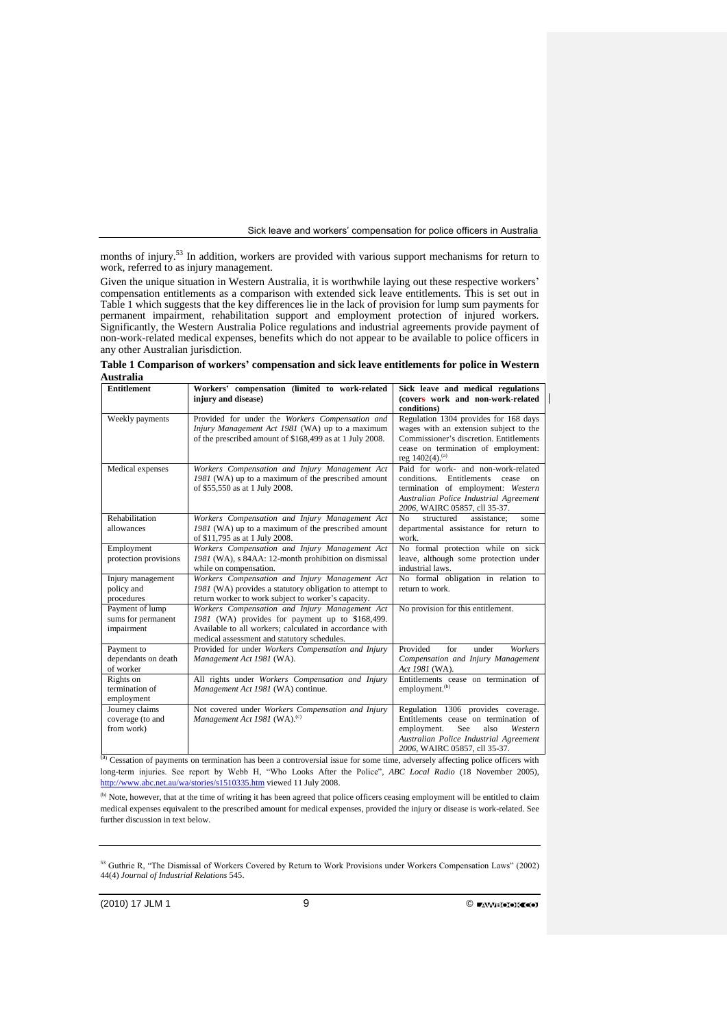months of injury.<sup>53</sup> In addition, workers are provided with various support mechanisms for return to work, referred to as injury management.

Given the unique situation in Western Australia, it is worthwhile laying out these respective workers' compensation entitlements as a comparison with extended sick leave entitlements. This is set out in Table 1 which suggests that the key differences lie in the lack of provision for lump sum payments for permanent impairment, rehabilitation support and employment protection of injured workers. Significantly, the Western Australia Police regulations and industrial agreements provide payment of non-work-related medical expenses, benefits which do not appear to be available to police officers in any other Australian jurisdiction.

| <b>Entitlement</b>                                  | Workers' compensation (limited to work-related<br>injury and disease)                                                                                                                                       | Sick leave and medical regulations<br>(covers work and non-work-related                                                                                                                                         |
|-----------------------------------------------------|-------------------------------------------------------------------------------------------------------------------------------------------------------------------------------------------------------------|-----------------------------------------------------------------------------------------------------------------------------------------------------------------------------------------------------------------|
| Weekly payments                                     | Provided for under the Workers Compensation and<br>Injury Management Act 1981 (WA) up to a maximum<br>of the prescribed amount of \$168,499 as at 1 July 2008.                                              | conditions)<br>Regulation 1304 provides for 168 days<br>wages with an extension subject to the<br>Commissioner's discretion. Entitlements<br>cease on termination of employment:<br>reg 1402(4). <sup>(a)</sup> |
| Medical expenses                                    | Workers Compensation and Injury Management Act<br>1981 (WA) up to a maximum of the prescribed amount<br>of \$55,550 as at 1 July 2008.                                                                      | Paid for work- and non-work-related<br>Entitlements<br>conditions.<br>cease<br><sub>on</sub><br>termination of employment: Western<br>Australian Police Industrial Agreement<br>2006, WAIRC 05857, cll 35-37.   |
| Rehabilitation<br>allowances                        | Workers Compensation and Injury Management Act<br>1981 (WA) up to a maximum of the prescribed amount<br>of \$11,795 as at 1 July 2008.                                                                      | N <sub>0</sub><br>structured<br>assistance:<br>some<br>departmental assistance for return to<br>work.                                                                                                           |
| Employment<br>protection provisions                 | Workers Compensation and Injury Management Act<br>1981 (WA), s 84AA: 12-month prohibition on dismissal<br>while on compensation.                                                                            | No formal protection while on sick<br>leave, although some protection under<br>industrial laws.                                                                                                                 |
| Injury management<br>policy and<br>procedures       | Workers Compensation and Injury Management Act<br>1981 (WA) provides a statutory obligation to attempt to<br>return worker to work subject to worker's capacity.                                            | No formal obligation in relation to<br>return to work.                                                                                                                                                          |
| Payment of lump<br>sums for permanent<br>impairment | Workers Compensation and Injury Management Act<br>1981 (WA) provides for payment up to \$168,499.<br>Available to all workers; calculated in accordance with<br>medical assessment and statutory schedules. | No provision for this entitlement.                                                                                                                                                                              |
| Payment to<br>dependants on death<br>of worker      | Provided for under Workers Compensation and Injury<br>Management Act 1981 (WA).                                                                                                                             | Provided<br>for<br>Workers<br>under<br>Compensation and Injury Management<br>Act 1981 (WA).                                                                                                                     |
| Rights on<br>termination of<br>employment           | All rights under Workers Compensation and Injury<br>Management Act 1981 (WA) continue.                                                                                                                      | Entitlements cease on termination of<br>employment. <sup>(b)</sup>                                                                                                                                              |
| Journey claims<br>coverage (to and<br>from work)    | Not covered under Workers Compensation and Injury<br>Management Act 1981 (WA). <sup>(c)</sup>                                                                                                               | Regulation 1306 provides coverage.<br>Entitlements cease on termination of<br>See<br>employment.<br>also<br>Western<br>Australian Police Industrial Agreement<br>2006, WAIRC 05857, cll 35-37.                  |

**Table 1 Comparison of workers' compensation and sick leave entitlements for police in Western Australia**

(a) Cessation of payments on termination has been a controversial issue for some time, adversely affecting police officers with long-term injuries. See report by Webb H, "Who Looks After the Police", *ABC Local Radio* (18 November 2005), <http://www.abc.net.au/wa/stories/s1510335.htm> viewed 11 July 2008.

(b) Note, however, that at the time of writing it has been agreed that police officers ceasing employment will be entitled to claim medical expenses equivalent to the prescribed amount for medical expenses, provided the injury or disease is work-related. See further discussion in text below.

<sup>53</sup> Guthrie R, "The Dismissal of Workers Covered by Return to Work Provisions under Workers Compensation Laws" (2002) 44(4) *Journal of Industrial Relations* 545.

(2010) 17 JLM 1 9 ©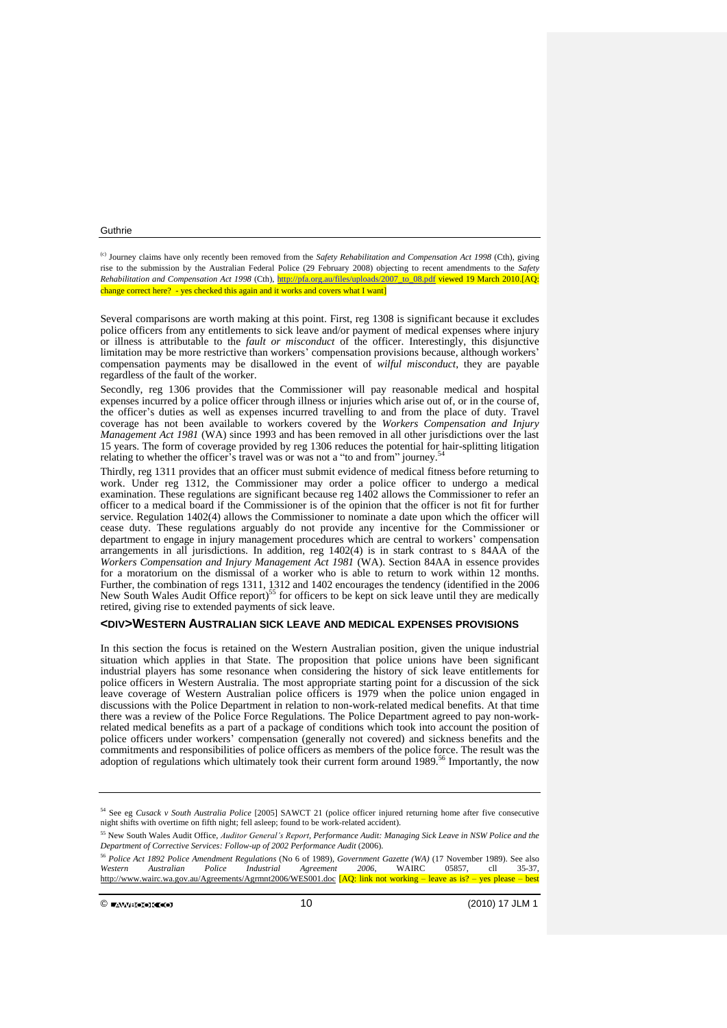(c) Journey claims have only recently been removed from the *Safety Rehabilitation and Compensation Act 1998* (Cth), giving rise to the submission by the Australian Federal Police (29 February 2008) objecting to recent amendments to the *Safety Rehabilitation and Compensation Act 1998* (Cth), [http://pfa.org.au/files/uploads/2007\\_to\\_08.pdf](http://pfa.org.au/files/uploads/2007_to_08.pdf) viewed 19 March 2010.[AQ: change correct here? - yes checked this again and it works and covers what I want]

Several comparisons are worth making at this point. First, reg 1308 is significant because it excludes police officers from any entitlements to sick leave and/or payment of medical expenses where injury or illness is attributable to the *fault or misconduct* of the officer. Interestingly, this disjunctive limitation may be more restrictive than workers' compensation provisions because, although workers' compensation payments may be disallowed in the event of *wilful misconduct*, they are payable regardless of the fault of the worker.

Secondly, reg 1306 provides that the Commissioner will pay reasonable medical and hospital expenses incurred by a police officer through illness or injuries which arise out of, or in the course of, the officer's duties as well as expenses incurred travelling to and from the place of duty. Travel coverage has not been available to workers covered by the *Workers Compensation and Injury Management Act 1981* (WA) since 1993 and has been removed in all other jurisdictions over the last 15 years. The form of coverage provided by reg 1306 reduces the potential for hair-splitting litigation relating to whether the officer's travel was or was not a "to and from" journey.<sup>54</sup>

Thirdly, reg 1311 provides that an officer must submit evidence of medical fitness before returning to work. Under reg 1312, the Commissioner may order a police officer to undergo a medical examination. These regulations are significant because reg 1402 allows the Commissioner to refer an officer to a medical board if the Commissioner is of the opinion that the officer is not fit for further service. Regulation 1402(4) allows the Commissioner to nominate a date upon which the officer will cease duty. These regulations arguably do not provide any incentive for the Commissioner or department to engage in injury management procedures which are central to workers' compensation arrangements in all jurisdictions. In addition, reg 1402(4) is in stark contrast to s 84AA of the *Workers Compensation and Injury Management Act 1981* (WA). Section 84AA in essence provides for a moratorium on the dismissal of a worker who is able to return to work within 12 months. Further, the combination of regs 1311, 1312 and 1402 encourages the tendency (identified in the 2006 New South Wales Audit Office report)<sup>55</sup> for officers to be kept on sick leave until they are medically retired, giving rise to extended payments of sick leave.

## **<DIV>WESTERN AUSTRALIAN SICK LEAVE AND MEDICAL EXPENSES PROVISIONS**

In this section the focus is retained on the Western Australian position, given the unique industrial situation which applies in that State. The proposition that police unions have been significant industrial players has some resonance when considering the history of sick leave entitlements for police officers in Western Australia. The most appropriate starting point for a discussion of the sick leave coverage of Western Australian police officers is 1979 when the police union engaged in discussions with the Police Department in relation to non-work-related medical benefits. At that time there was a review of the Police Force Regulations. The Police Department agreed to pay non-workrelated medical benefits as a part of a package of conditions which took into account the position of police officers under workers' compensation (generally not covered) and sickness benefits and the commitments and responsibilities of police officers as members of the police force. The result was the adoption of regulations which ultimately took their current form around 1989.<sup>56</sup> Importantly, the now

<sup>54</sup> See eg *Cusack v South Australia Police* [2005] SAWCT 21 (police officer injured returning home after five consecutive night shifts with overtime on fifth night; fell asleep; found to be work-related accident).

<sup>55</sup> New South Wales Audit Office, *Auditor General's Report, Performance Audit: Managing Sick Leave in NSW Police and the Department of Corrective Services: Follow-up of 2002 Performance Audit* (2006).

<sup>56</sup> *Police Act 1892 Police Amendment Regulations* (No 6 of 1989), *Government Gazette (WA)* (17 November 1989). See also *Western Australian Police Industrial Agreement 2006*, WAIRC 05857, cll 35-37, <http://www.wairc.wa.gov.au/Agreements/Agrmnt2006/WES001.doc> [AQ: link not working – leave as is? – yes please – best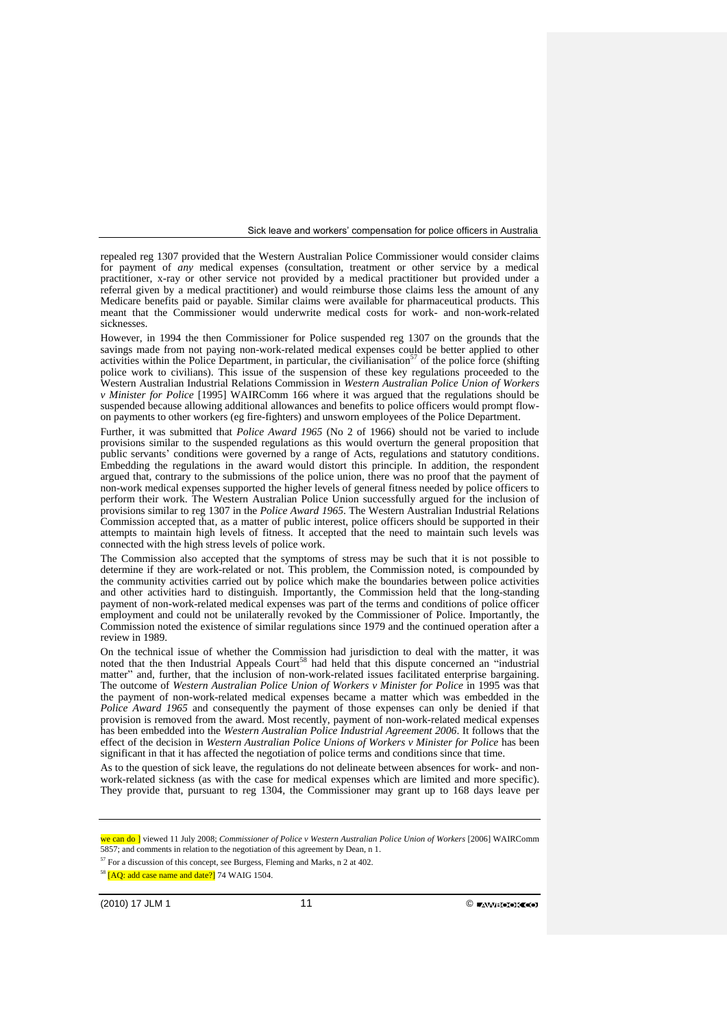repealed reg 1307 provided that the Western Australian Police Commissioner would consider claims for payment of *any* medical expenses (consultation, treatment or other service by a medical practitioner, x-ray or other service not provided by a medical practitioner but provided under a referral given by a medical practitioner) and would reimburse those claims less the amount of any Medicare benefits paid or payable. Similar claims were available for pharmaceutical products. This meant that the Commissioner would underwrite medical costs for work- and non-work-related sicknesses.

However, in 1994 the then Commissioner for Police suspended reg 1307 on the grounds that the savings made from not paying non-work-related medical expenses could be better applied to other activities within the Police Department, in particular, the civilianisation<sup>57</sup> of the police force (shifting police work to civilians). This issue of the suspension of these key regulations proceeded to the Western Australian Industrial Relations Commission in *Western Australian Police Union of Workers v Minister for Police* [1995] WAIRComm 166 where it was argued that the regulations should be suspended because allowing additional allowances and benefits to police officers would prompt flowon payments to other workers (eg fire-fighters) and unsworn employees of the Police Department.

Further, it was submitted that *Police Award 1965* (No 2 of 1966) should not be varied to include provisions similar to the suspended regulations as this would overturn the general proposition that public servants' conditions were governed by a range of Acts, regulations and statutory conditions. Embedding the regulations in the award would distort this principle. In addition, the respondent argued that, contrary to the submissions of the police union, there was no proof that the payment of non-work medical expenses supported the higher levels of general fitness needed by police officers to perform their work. The Western Australian Police Union successfully argued for the inclusion of provisions similar to reg 1307 in the *Police Award 1965*. The Western Australian Industrial Relations Commission accepted that, as a matter of public interest, police officers should be supported in their attempts to maintain high levels of fitness. It accepted that the need to maintain such levels was connected with the high stress levels of police work.

The Commission also accepted that the symptoms of stress may be such that it is not possible to determine if they are work-related or not. This problem, the Commission noted, is compounded by the community activities carried out by police which make the boundaries between police activities and other activities hard to distinguish. Importantly, the Commission held that the long-standing payment of non-work-related medical expenses was part of the terms and conditions of police officer employment and could not be unilaterally revoked by the Commissioner of Police. Importantly, the Commission noted the existence of similar regulations since 1979 and the continued operation after a review in 1989.

On the technical issue of whether the Commission had jurisdiction to deal with the matter, it was noted that the then Industrial Appeals Court<sup>58</sup> had held that this dispute concerned an "industrial" matter" and, further, that the inclusion of non-work-related issues facilitated enterprise bargaining. The outcome of *Western Australian Police Union of Workers v Minister for Police* in 1995 was that the payment of non-work-related medical expenses became a matter which was embedded in the *Police Award 1965* and consequently the payment of those expenses can only be denied if that provision is removed from the award. Most recently, payment of non-work-related medical expenses has been embedded into the *Western Australian Police Industrial Agreement 2006*. It follows that the effect of the decision in *Western Australian Police Unions of Workers v Minister for Police* has been significant in that it has affected the negotiation of police terms and conditions since that time.

As to the question of sick leave, the regulations do not delineate between absences for work- and nonwork-related sickness (as with the case for medical expenses which are limited and more specific). They provide that, pursuant to reg 1304, the Commissioner may grant up to 168 days leave per

we can do ] viewed 11 July 2008; *Commissioner of Police v Western Australian Police Union of Workers* [2006] WAIRComm 5857; and comments in relation to the negotiation of this agreement by Dean, n 1.

 $57$  For a discussion of this concept, see Burgess, Fleming and Marks, n 2 at 402.

<sup>&</sup>lt;sup>58</sup> [AO: add case name and date?] 74 WAIG 1504.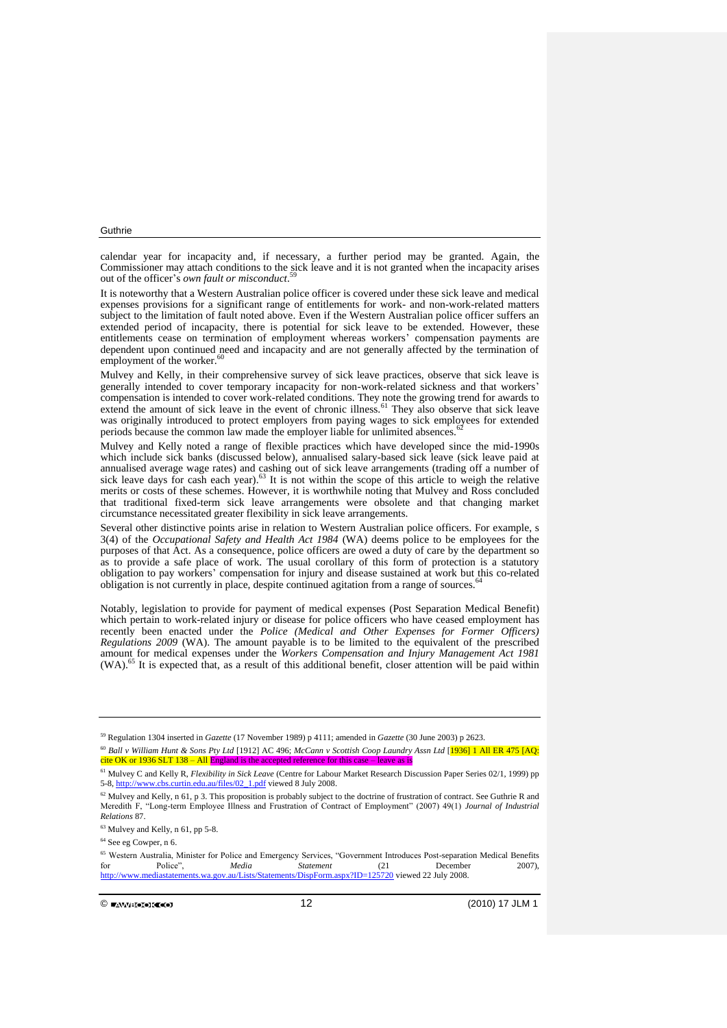calendar year for incapacity and, if necessary, a further period may be granted. Again, the Commissioner may attach conditions to the sick leave and it is not granted when the incapacity arises out of the officer's *own fault or misconduct*. 59

It is noteworthy that a Western Australian police officer is covered under these sick leave and medical expenses provisions for a significant range of entitlements for work- and non-work-related matters subject to the limitation of fault noted above. Even if the Western Australian police officer suffers an extended period of incapacity, there is potential for sick leave to be extended. However, these entitlements cease on termination of employment whereas workers' compensation payments are dependent upon continued need and incapacity and are not generally affected by the termination of employment of the worker.<sup>60</sup>

Mulvey and Kelly, in their comprehensive survey of sick leave practices, observe that sick leave is generally intended to cover temporary incapacity for non-work-related sickness and that workers' compensation is intended to cover work-related conditions. They note the growing trend for awards to extend the amount of sick leave in the event of chronic illness.<sup>61</sup> They also observe that sick leave was originally introduced to protect employers from paying wages to sick employees for extended periods because the common law made the employer liable for unlimited absences.

Mulvey and Kelly noted a range of flexible practices which have developed since the mid-1990s which include sick banks (discussed below), annualised salary-based sick leave (sick leave paid at annualised average wage rates) and cashing out of sick leave arrangements (trading off a number of sick leave days for cash each year).<sup>63</sup> It is not within the scope of this article to weigh the relative merits or costs of these schemes. However, it is worthwhile noting that Mulvey and Ross concluded that traditional fixed-term sick leave arrangements were obsolete and that changing market circumstance necessitated greater flexibility in sick leave arrangements.

Several other distinctive points arise in relation to Western Australian police officers. For example, s 3(4) of the *Occupational Safety and Health Act 1984* (WA) deems police to be employees for the purposes of that Act. As a consequence, police officers are owed a duty of care by the department so as to provide a safe place of work. The usual corollary of this form of protection is a statutory obligation to pay workers' compensation for injury and disease sustained at work but this co-related obligation is not currently in place, despite continued agitation from a range of sources.<sup>64</sup>

Notably, legislation to provide for payment of medical expenses (Post Separation Medical Benefit) which pertain to work-related injury or disease for police officers who have ceased employment has recently been enacted under the *Police (Medical and Other Expenses for Former Officers) Regulations 2009* (WA). The amount payable is to be limited to the equivalent of the prescribed amount for medical expenses under the *Workers Compensation and Injury Management Act 1981* (WA).<sup>65</sup> It is expected that, as a result of this additional benefit, closer attention will be paid within

<sup>59</sup> Regulation 1304 inserted in *Gazette* (17 November 1989) p 4111; amended in *Gazette* (30 June 2003) p 2623.

<sup>60</sup> *Ball v William Hunt & Sons Pty Ltd* [1912] AC 496; *McCann v Scottish Coop Laundry Assn Ltd* [1936] 1 All ER 475 [AQ: cite OK or 1936 SLT 138 – All England is the accepted reference for this case

<sup>61</sup> Mulvey C and Kelly R, *Flexibility in Sick Leave* (Centre for Labour Market Research Discussion Paper Series 02/1, 1999) pp 5-8[, http://www.cbs.curtin.edu.au/files/02\\_1.pdf](http://www.cbs.curtin.edu.au/files/02_1.pdf) viewed 8 July 2008.

<sup>&</sup>lt;sup>62</sup> Mulvey and Kelly, n 61, p 3. This proposition is probably subject to the doctrine of frustration of contract. See Guthrie R and Meredith F, "Long-term Employee Illness and Frustration of Contract of Employment" (2007) 49(1) *Journal of Industrial Relations* 87.

<sup>63</sup> Mulvey and Kelly, n 61, pp 5-8.

<sup>64</sup> See eg Cowper, n 6.

<sup>&</sup>lt;sup>65</sup> Western Australia, Minister for Police and Emergency Services, "Government Introduces Post-separation Medical Benefits<br>for Police *Media* Statement (21 December 2007). for Police", *Media Statement* (21 December 2007), <http://www.mediastatements.wa.gov.au/Lists/Statements/DispForm.aspx?ID=125720> viewed 22 July 2008.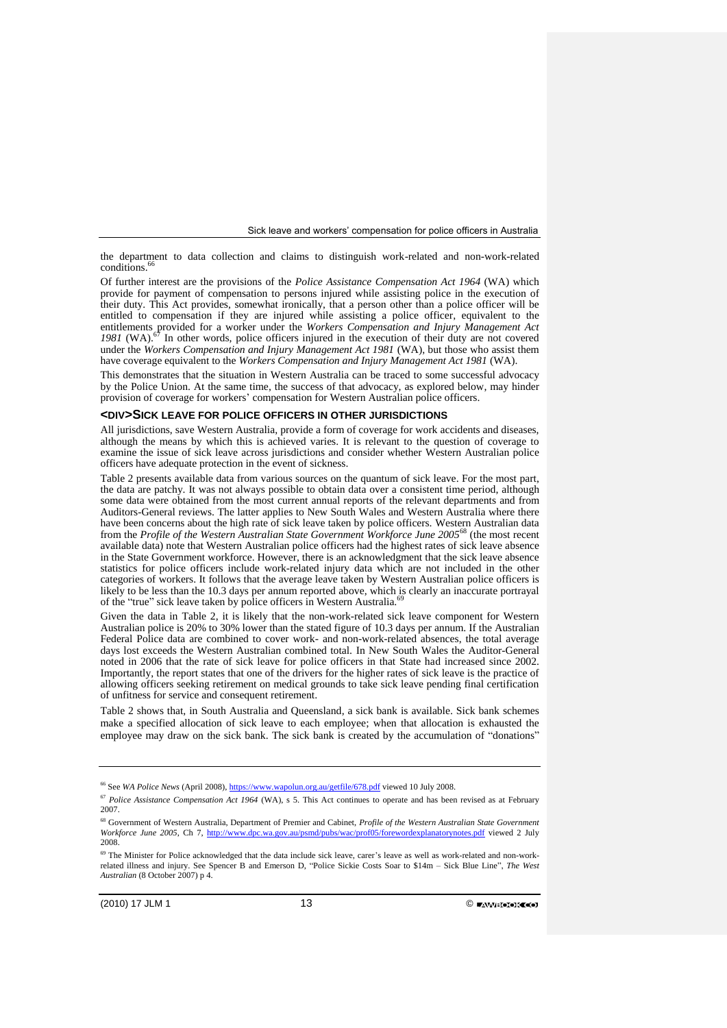the department to data collection and claims to distinguish work-related and non-work-related  $conditions<sup>6</sup>$ 

Of further interest are the provisions of the *Police Assistance Compensation Act 1964* (WA) which provide for payment of compensation to persons injured while assisting police in the execution of their duty. This Act provides, somewhat ironically, that a person other than a police officer will be entitled to compensation if they are injured while assisting a police officer, equivalent to the entitlements provided for a worker under the *Workers Compensation and Injury Management Act* 1981 (WA).<sup>67</sup> In other words, police officers injured in the execution of their duty are not covered under the *Workers Compensation and Injury Management Act 1981* (WA), but those who assist them have coverage equivalent to the *Workers Compensation and Injury Management Act 1981* (WA).

This demonstrates that the situation in Western Australia can be traced to some successful advocacy by the Police Union. At the same time, the success of that advocacy, as explored below, may hinder provision of coverage for workers' compensation for Western Australian police officers.

## **<DIV>SICK LEAVE FOR POLICE OFFICERS IN OTHER JURISDICTIONS**

All jurisdictions, save Western Australia, provide a form of coverage for work accidents and diseases, although the means by which this is achieved varies. It is relevant to the question of coverage to examine the issue of sick leave across jurisdictions and consider whether Western Australian police officers have adequate protection in the event of sickness.

Table 2 presents available data from various sources on the quantum of sick leave. For the most part, the data are patchy. It was not always possible to obtain data over a consistent time period, although some data were obtained from the most current annual reports of the relevant departments and from Auditors-General reviews. The latter applies to New South Wales and Western Australia where there have been concerns about the high rate of sick leave taken by police officers. Western Australian data from the *Profile of the Western Australian State Government Workforce June 2005*<sup>68</sup> (the most recent available data) note that Western Australian police officers had the highest rates of sick leave absence in the State Government workforce. However, there is an acknowledgment that the sick leave absence statistics for police officers include work-related injury data which are not included in the other categories of workers. It follows that the average leave taken by Western Australian police officers is likely to be less than the 10.3 days per annum reported above, which is clearly an inaccurate portrayal of the "true" sick leave taken by police officers in Western Australia.

Given the data in Table 2, it is likely that the non-work-related sick leave component for Western Australian police is 20% to 30% lower than the stated figure of 10.3 days per annum. If the Australian Federal Police data are combined to cover work- and non-work-related absences, the total average days lost exceeds the Western Australian combined total. In New South Wales the Auditor-General noted in 2006 that the rate of sick leave for police officers in that State had increased since 2002. Importantly, the report states that one of the drivers for the higher rates of sick leave is the practice of allowing officers seeking retirement on medical grounds to take sick leave pending final certification of unfitness for service and consequent retirement.

Table 2 shows that, in South Australia and Queensland, a sick bank is available. Sick bank schemes make a specified allocation of sick leave to each employee; when that allocation is exhausted the employee may draw on the sick bank. The sick bank is created by the accumulation of "donations"

<sup>&</sup>lt;sup>66</sup> See *WA Police News* (April 2008)[, https://www.wapolun.org.au/getfile/678.pdf](https://www.wapolun.org.au/getfile/678.pdf) viewed 10 July 2008.

<sup>67</sup> *Police Assistance Compensation Act 1964* (WA), s 5. This Act continues to operate and has been revised as at February 2007.

<sup>68</sup> Government of Western Australia, Department of Premier and Cabinet, *Profile of the Western Australian State Government Workforce June 2005*, Ch 7,<http://www.dpc.wa.gov.au/psmd/pubs/wac/prof05/forewordexplanatorynotes.pdf> viewed 2 July 2008.

<sup>&</sup>lt;sup>69</sup> The Minister for Police acknowledged that the data include sick leave, carer's leave as well as work-related and non-workrelated illness and injury. See Spencer B and Emerson D, "Police Sickie Costs Soar to \$14m – Sick Blue Line", *The West Australian* (8 October 2007) p 4.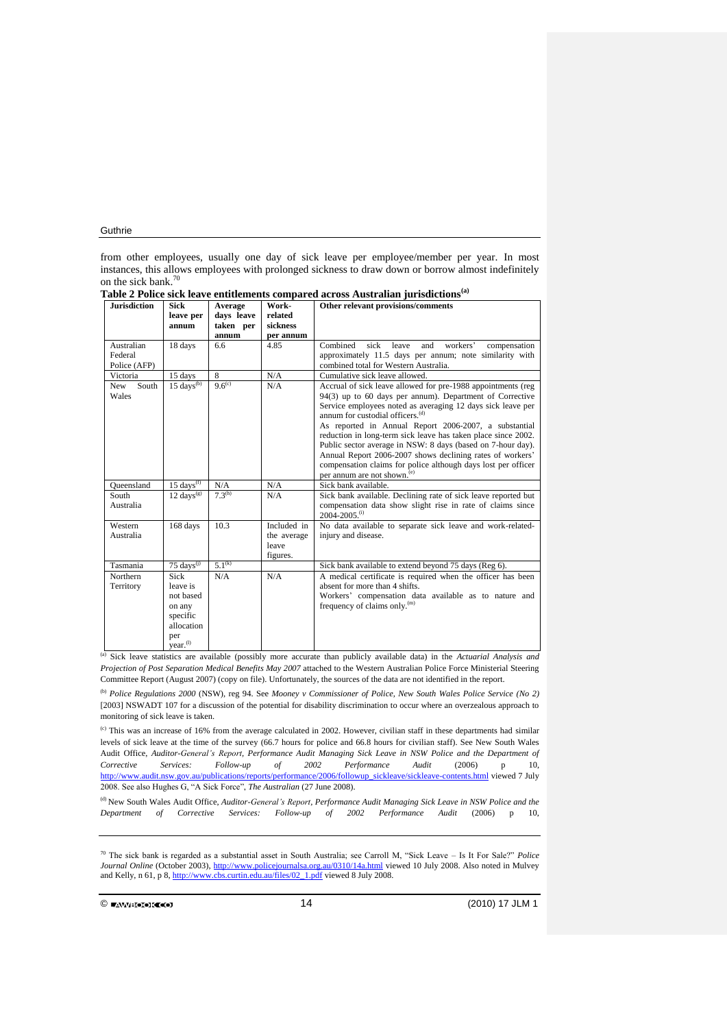from other employees, usually one day of sick leave per employee/member per year. In most instances, this allows employees with prolonged sickness to draw down or borrow almost indefinitely on the sick bank. 70

| <b>Jurisdiction</b> | <b>Sick</b>             | Average        | Work-       | Other relevant provisions/comments                             |
|---------------------|-------------------------|----------------|-------------|----------------------------------------------------------------|
|                     | leave per               | days leave     | related     |                                                                |
|                     | annum                   | taken per      | sickness    |                                                                |
|                     |                         | annum          | per annum   |                                                                |
| Australian          | 18 days                 | 6.6            | 4.85        | Combined<br>sick<br>leave<br>and<br>workers'<br>compensation   |
| Federal             |                         |                |             | approximately 11.5 days per annum; note similarity with        |
| Police (AFP)        |                         |                |             | combined total for Western Australia.                          |
| Victoria            | 15 days                 | $\overline{8}$ | N/A         | Cumulative sick leave allowed.                                 |
| South<br>New        | $15 \text{ days}^{(b)}$ | $9.6^{(c)}$    | N/A         | Accrual of sick leave allowed for pre-1988 appointments (reg   |
| Wales               |                         |                |             | $94(3)$ up to 60 days per annum). Department of Corrective     |
|                     |                         |                |             | Service employees noted as averaging 12 days sick leave per    |
|                     |                         |                |             | annum for custodial officers. <sup>(d)</sup>                   |
|                     |                         |                |             | As reported in Annual Report 2006-2007, a substantial          |
|                     |                         |                |             | reduction in long-term sick leave has taken place since 2002.  |
|                     |                         |                |             | Public sector average in NSW: 8 days (based on 7-hour day).    |
|                     |                         |                |             | Annual Report 2006-2007 shows declining rates of workers'      |
|                     |                         |                |             | compensation claims for police although days lost per officer  |
|                     |                         |                |             | per annum are not shown. <sup>(e)</sup>                        |
| Oueensland          | $15 \text{ days}^{(f)}$ | N/A            | N/A         | Sick bank available.                                           |
| South               | $12 \text{ days}^{(g)}$ | $7.3^{(h)}$    | N/A         | Sick bank available. Declining rate of sick leave reported but |
| Australia           |                         |                |             | compensation data show slight rise in rate of claims since     |
|                     |                         |                |             | $2004 - 2005$ . (i)                                            |
| Western             | 168 days                | 10.3           | Included in | No data available to separate sick leave and work-related-     |
| Australia           |                         |                | the average | injury and disease.                                            |
|                     |                         |                | leave       |                                                                |
|                     |                         |                | figures.    |                                                                |
| Tasmania            | $75 \text{ days}^{(j)}$ | $5.1^{(k)}$    |             | Sick bank available to extend beyond 75 days (Reg 6).          |
| Northern            | Sick                    | N/A            | N/A         | A medical certificate is required when the officer has been    |
| Territory           | leave is                |                |             | absent for more than 4 shifts.                                 |
|                     | not based               |                |             | Workers' compensation data available as to nature and          |
|                     | on any                  |                |             | frequency of claims only. <sup>(m)</sup>                       |
|                     | specific                |                |             |                                                                |
|                     | allocation              |                |             |                                                                |
|                     | per                     |                |             |                                                                |
|                     | year. <sup>(1)</sup>    |                |             |                                                                |

**Table 2 Police sick leave entitlements compared across Australian jurisdictions(a)**

(a) Sick leave statistics are available (possibly more accurate than publicly available data) in the *Actuarial Analysis and Projection of Post Separation Medical Benefits May 2007* attached to the Western Australian Police Force Ministerial Steering Committee Report (August 2007) (copy on file). Unfortunately, the sources of the data are not identified in the report.

(b) *Police Regulations 2000* (NSW), reg 94. See *Mooney v Commissioner of Police, New South Wales Police Service (No 2)* [2003] NSWADT 107 for a discussion of the potential for disability discrimination to occur where an overzealous approach to monitoring of sick leave is taken.

(c) This was an increase of 16% from the average calculated in 2002. However, civilian staff in these departments had similar levels of sick leave at the time of the survey (66.7 hours for police and 66.8 hours for civilian staff). See New South Wales Audit Office, *Auditor-General's Report, Performance Audit Managing Sick Leave in NSW Police and the Department of Corrective Services: Follow-up of 2002 Performance Audit* (2006) p 10, [http://www.audit.nsw.gov.au/publications/reports/performance/2006/followup\\_sickleave/sickleave-contents.html](http://www.audit.nsw.gov.au/publications/reports/performance/2006/followup_sickleave/sickleave-contents.html) viewed 7 July 2008. See also Hughes G, "A Sick Force", *The Australian* (27 June 2008).

(d) New South Wales Audit Office, *Auditor-General's Report, Performance Audit Managing Sick Leave in NSW Police and the Department of Corrective Services: Follow-up of 2002 Performance Audit* (2006) p 10,

<sup>70</sup> The sick bank is regarded as a substantial asset in South Australia; see Carroll M, "Sick Leave – Is It For Sale?" *Police Journal Online* (October 2003),<http://www.policejournalsa.org.au/0310/14a.html> viewed 10 July 2008. Also noted in Mulvey and Kelly, n 61, p 8, [http://www.cbs.curtin.edu.au/files/02\\_1.pdf](http://www.cbs.curtin.edu.au/files/02_1.pdf) viewed 8 July 2008.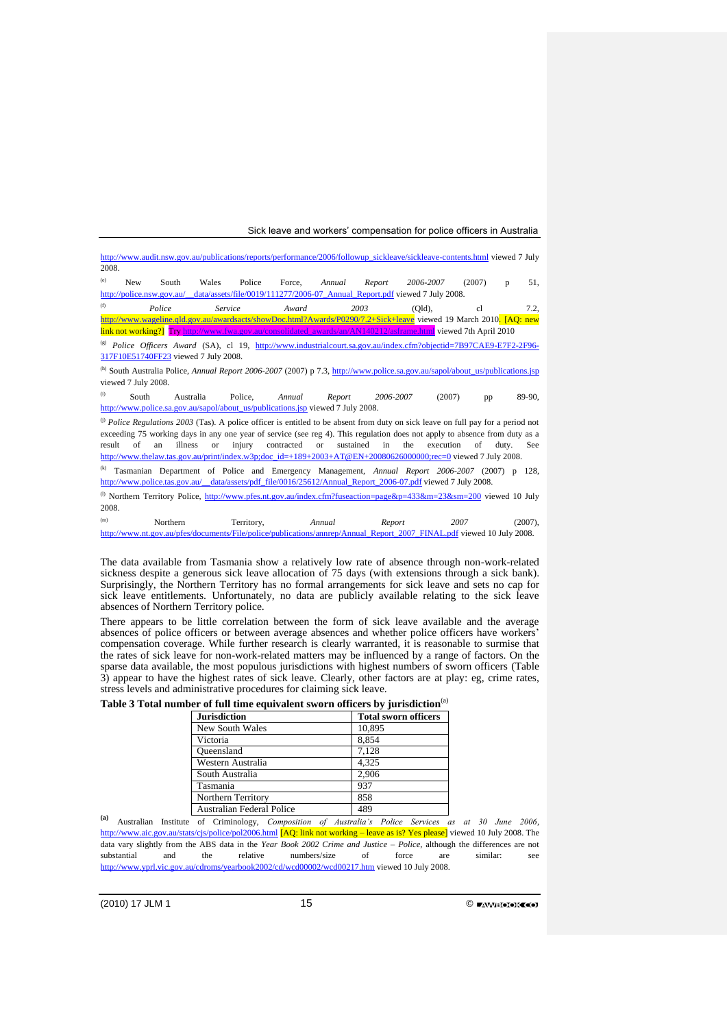|                                                                                                                                        |                     |                                      |           |            |                                                                                 |           |                 | http://www.audit.nsw.gov.au/publications/reports/performance/2006/followup_sickleave/sickleave-contents.html viewed 7 July     |              |       |         |
|----------------------------------------------------------------------------------------------------------------------------------------|---------------------|--------------------------------------|-----------|------------|---------------------------------------------------------------------------------|-----------|-----------------|--------------------------------------------------------------------------------------------------------------------------------|--------------|-------|---------|
| 2008.                                                                                                                                  |                     |                                      |           |            |                                                                                 |           |                 |                                                                                                                                |              |       |         |
| (e)                                                                                                                                    | <b>New</b>          | South                                | Wales     | Police     | Force.                                                                          | Annual    | Report          | 2006-2007                                                                                                                      | (2007)       | D     | 51,     |
|                                                                                                                                        |                     | http://police.nsw.gov.au/            |           |            |                                                                                 |           |                 | _data/assets/file/0019/111277/2006-07_Annual_Report.pdf viewed 7 July 2008.                                                    |              |       |         |
| (f)                                                                                                                                    |                     | Police                               | Service   |            | Award                                                                           |           | 2003            | (Old).                                                                                                                         | cl           |       | 7.2.    |
|                                                                                                                                        |                     |                                      |           |            |                                                                                 |           |                 | http://www.wageline.qld.gov.au/awardsacts/showDoc.html?Awards/P0290/7.2+Sick+leave viewed 19 March 2010. [AQ: new              |              |       |         |
|                                                                                                                                        |                     |                                      |           |            |                                                                                 |           |                 | link not working?] Try http://www.fwa.gov.au/consolidated_awards/an/AN140212/asframe.html viewed 7th April 2010                |              |       |         |
|                                                                                                                                        |                     |                                      |           |            |                                                                                 |           |                 | <sup>(g)</sup> Police Officers Award (SA), cl 19, http://www.industrialcourt.sa.gov.au/index.cfm?objectid=7B97CAE9-E7F2-2F96-  |              |       |         |
|                                                                                                                                        |                     | 317F10E51740FF23 viewed 7 July 2008. |           |            |                                                                                 |           |                 |                                                                                                                                |              |       |         |
|                                                                                                                                        |                     |                                      |           |            |                                                                                 |           |                 | (h) South Australia Police, Annual Report 2006-2007 (2007) p 7.3, http://www.police.sa.gov.au/sapol/about_us/publications.jsp  |              |       |         |
|                                                                                                                                        | viewed 7 July 2008. |                                      |           |            |                                                                                 |           |                 |                                                                                                                                |              |       |         |
| (i)                                                                                                                                    | South               |                                      | Australia | Police.    | Annual                                                                          | Report    | 2006-2007       |                                                                                                                                | (2007)<br>pp |       | 89-90,  |
|                                                                                                                                        |                     |                                      |           |            | http://www.police.sa.gov.au/sapol/about_us/publications.jsp viewed 7 July 2008. |           |                 |                                                                                                                                |              |       |         |
| $^{(i)}$ Police Regulations 2003 (Tas). A police officer is entitled to be absent from duty on sick leave on full pay for a period not |                     |                                      |           |            |                                                                                 |           |                 |                                                                                                                                |              |       |         |
|                                                                                                                                        |                     |                                      |           |            |                                                                                 |           |                 | exceeding 75 working days in any one year of service (see reg 4). This regulation does not apply to absence from duty as a     |              |       |         |
| result                                                                                                                                 | of                  | illness<br>an                        | <b>or</b> | injury     | contracted                                                                      | <b>or</b> | sustained<br>in | the<br>execution                                                                                                               | of           | duty. | See     |
|                                                                                                                                        |                     |                                      |           |            |                                                                                 |           |                 | http://www.thelaw.tas.gov.au/print/index.w3p;doc_id=+189+2003+AT@EN+20080626000000;rec=0 viewed 7 July 2008.                   |              |       |         |
| (k)                                                                                                                                    |                     |                                      |           |            |                                                                                 |           |                 | Tasmanian Department of Police and Emergency Management, Annual Report 2006-2007 (2007) p                                      |              |       | 128.    |
| http://www.police.tas.gov.au/_data/assets/pdf_file/0016/25612/Annual_Report_2006-07.pdf viewed 7 July 2008.                            |                     |                                      |           |            |                                                                                 |           |                 |                                                                                                                                |              |       |         |
|                                                                                                                                        |                     |                                      |           |            |                                                                                 |           |                 | <sup>(l)</sup> Northern Territory Police, http://www.pfes.nt.gov.au/index.cfm?fuseaction=page&p=433&m=23&sm=200 viewed 10 July |              |       |         |
| 2008.                                                                                                                                  |                     |                                      |           |            |                                                                                 |           |                 |                                                                                                                                |              |       |         |
| (m)                                                                                                                                    |                     | Northern                             |           | Territory, |                                                                                 | Annual    | Report          |                                                                                                                                | 2007         |       | (2007). |

[http://www.nt.gov.au/pfes/documents/File/police/publications/annrep/Annual\\_Report\\_2007\\_FINAL.pdf](http://www.nt.gov.au/pfes/documents/File/police/publications/annrep/Annual_Report_2007_FINAL.pdf) viewed 10 July 2008.

The data available from Tasmania show a relatively low rate of absence through non-work-related sickness despite a generous sick leave allocation of 75 days (with extensions through a sick bank). Surprisingly, the Northern Territory has no formal arrangements for sick leave and sets no cap for sick leave entitlements. Unfortunately, no data are publicly available relating to the sick leave absences of Northern Territory police.

There appears to be little correlation between the form of sick leave available and the average absences of police officers or between average absences and whether police officers have workers' compensation coverage. While further research is clearly warranted, it is reasonable to surmise that the rates of sick leave for non-work-related matters may be influenced by a range of factors. On the sparse data available, the most populous jurisdictions with highest numbers of sworn officers (Table 3) appear to have the highest rates of sick leave. Clearly, other factors are at play: eg, crime rates, stress levels and administrative procedures for claiming sick leave.

| Table 3 Total number of full time equivalent sworn officers by jurisdiction <sup>(a)</sup> |  |  |  |  |  |
|--------------------------------------------------------------------------------------------|--|--|--|--|--|
|--------------------------------------------------------------------------------------------|--|--|--|--|--|

| <b>Jurisdiction</b>              | <b>Total sworn officers</b> |
|----------------------------------|-----------------------------|
| New South Wales                  | 10,895                      |
| Victoria                         | 8,854                       |
| Oueensland                       | 7,128                       |
| Western Australia                | 4,325                       |
| South Australia                  | 2,906                       |
| Tasmania                         | 937                         |
| Northern Territory               | 858                         |
| <b>Australian Federal Police</b> | 489                         |

Australian Federal Police 489 **(a)** Australian Institute of Criminology, *Composition of Australia's Police Services as at 30 June 2006*, <http://www.aic.gov.au/stats/cjs/police/pol2006.html> [AQ: link not working – leave as is? Yes please] viewed 10 July 2008. The data vary slightly from the ABS data in the *Year Book 2002 Crime and Justice – Police*, although the differences are not substantial and the relative numbers/size of force are similar: see <http://www.yprl.vic.gov.au/cdroms/yearbook2002/cd/wcd00002/wcd00217.htm> viewed 10 July 2008.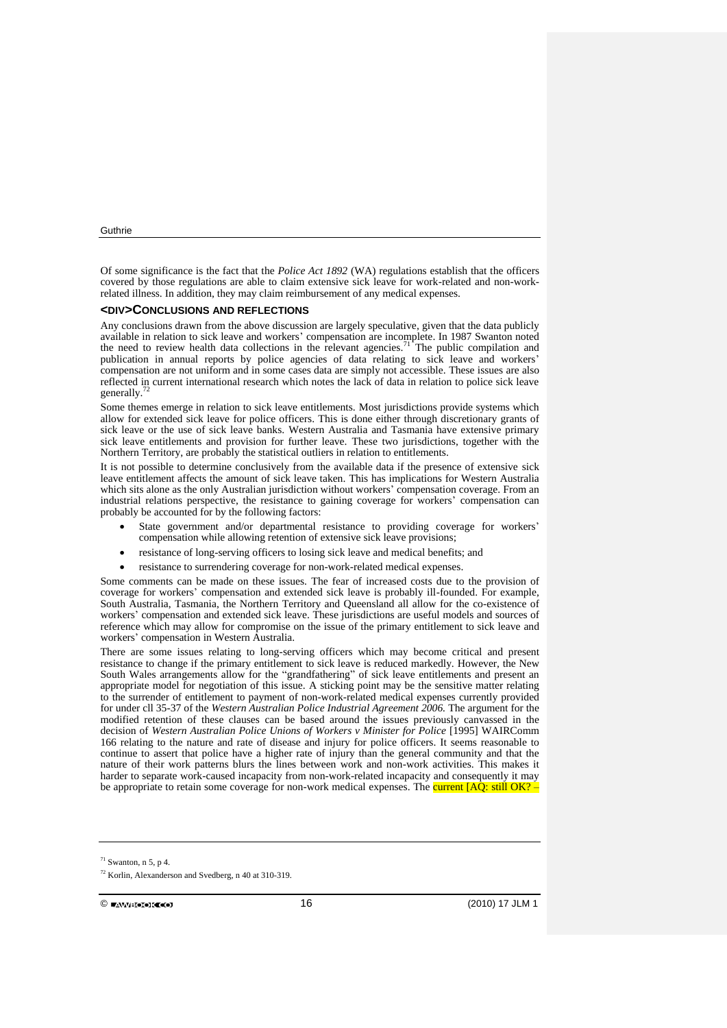Of some significance is the fact that the *Police Act 1892* (WA) regulations establish that the officers covered by those regulations are able to claim extensive sick leave for work-related and non-workrelated illness. In addition, they may claim reimbursement of any medical expenses.

#### **<DIV>CONCLUSIONS AND REFLECTIONS**

Any conclusions drawn from the above discussion are largely speculative, given that the data publicly available in relation to sick leave and workers' compensation are incomplete. In 1987 Swanton noted the need to review health data collections in the relevant agencies.<sup>71</sup> The public compilation and publication in annual reports by police agencies of data relating to sick leave and workers' compensation are not uniform and in some cases data are simply not accessible. These issues are also reflected in current international research which notes the lack of data in relation to police sick leave generally.

Some themes emerge in relation to sick leave entitlements. Most jurisdictions provide systems which allow for extended sick leave for police officers. This is done either through discretionary grants of sick leave or the use of sick leave banks. Western Australia and Tasmania have extensive primary sick leave entitlements and provision for further leave. These two jurisdictions, together with the Northern Territory, are probably the statistical outliers in relation to entitlements.

It is not possible to determine conclusively from the available data if the presence of extensive sick leave entitlement affects the amount of sick leave taken. This has implications for Western Australia which sits alone as the only Australian jurisdiction without workers' compensation coverage. From an industrial relations perspective, the resistance to gaining coverage for workers' compensation can probably be accounted for by the following factors:

- State government and/or departmental resistance to providing coverage for workers' compensation while allowing retention of extensive sick leave provisions;
- resistance of long-serving officers to losing sick leave and medical benefits; and
- resistance to surrendering coverage for non-work-related medical expenses.

Some comments can be made on these issues. The fear of increased costs due to the provision of coverage for workers' compensation and extended sick leave is probably ill-founded. For example, South Australia, Tasmania, the Northern Territory and Queensland all allow for the co-existence of workers' compensation and extended sick leave. These jurisdictions are useful models and sources of reference which may allow for compromise on the issue of the primary entitlement to sick leave and workers' compensation in Western Australia.

There are some issues relating to long-serving officers which may become critical and present resistance to change if the primary entitlement to sick leave is reduced markedly. However, the New South Wales arrangements allow for the "grandfathering" of sick leave entitlements and present an appropriate model for negotiation of this issue. A sticking point may be the sensitive matter relating to the surrender of entitlement to payment of non-work-related medical expenses currently provided for under cll 35-37 of the *Western Australian Police Industrial Agreement 2006.* The argument for the modified retention of these clauses can be based around the issues previously canvassed in the decision of *Western Australian Police Unions of Workers v Minister for Police* [1995] WAIRComm 166 relating to the nature and rate of disease and injury for police officers. It seems reasonable to continue to assert that police have a higher rate of injury than the general community and that the nature of their work patterns blurs the lines between work and non-work activities. This makes it harder to separate work-caused incapacity from non-work-related incapacity and consequently it may be appropriate to retain some coverage for non-work medical expenses. The **current [AQ: still OK?** 

 $71$  Swanton, n 5, p 4.

<sup>72</sup> Korlin, Alexanderson and Svedberg, n 40 at 310-319.